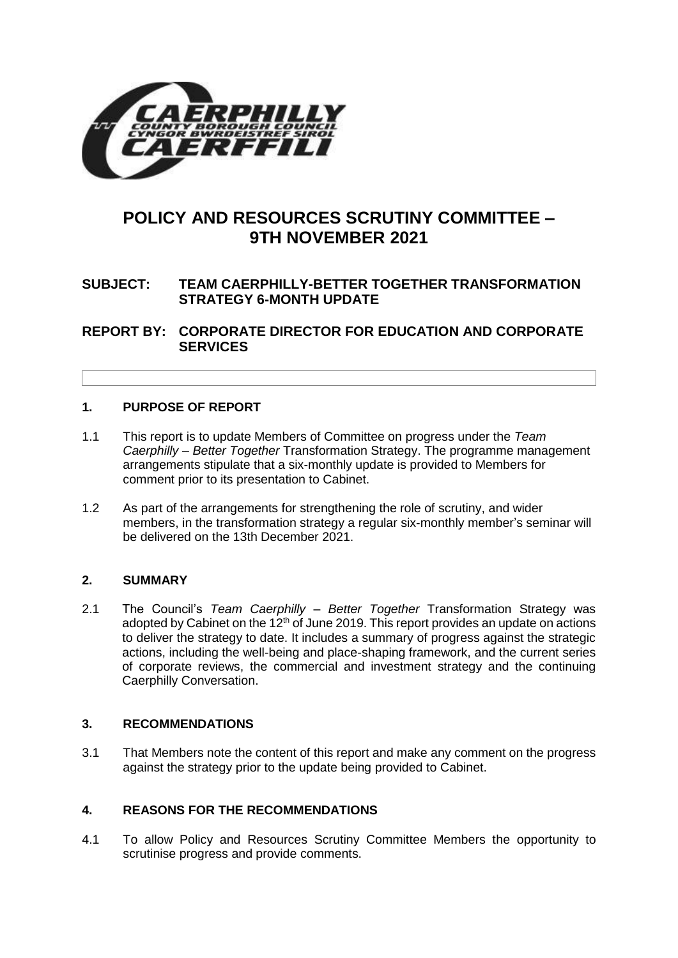

# **POLICY AND RESOURCES SCRUTINY COMMITTEE – 9TH NOVEMBER 2021**

# **SUBJECT: TEAM CAERPHILLY-BETTER TOGETHER TRANSFORMATION STRATEGY 6-MONTH UPDATE**

**REPORT BY: CORPORATE DIRECTOR FOR EDUCATION AND CORPORATE SERVICES**

#### **1. PURPOSE OF REPORT**

- 1.1 This report is to update Members of Committee on progress under the *Team Caerphilly – Better Together* Transformation Strategy. The programme management arrangements stipulate that a six-monthly update is provided to Members for comment prior to its presentation to Cabinet.
- 1.2 As part of the arrangements for strengthening the role of scrutiny, and wider members, in the transformation strategy a regular six-monthly member's seminar will be delivered on the 13th December 2021.

# **2. SUMMARY**

2.1 The Council's *Team Caerphilly – Better Together* Transformation Strategy was adopted by Cabinet on the  $12<sup>th</sup>$  of June 2019. This report provides an update on actions to deliver the strategy to date. It includes a summary of progress against the strategic actions, including the well-being and place-shaping framework, and the current series of corporate reviews, the commercial and investment strategy and the continuing Caerphilly Conversation.

#### **3. RECOMMENDATIONS**

3.1 That Members note the content of this report and make any comment on the progress against the strategy prior to the update being provided to Cabinet.

#### **4. REASONS FOR THE RECOMMENDATIONS**

4.1 To allow Policy and Resources Scrutiny Committee Members the opportunity to scrutinise progress and provide comments.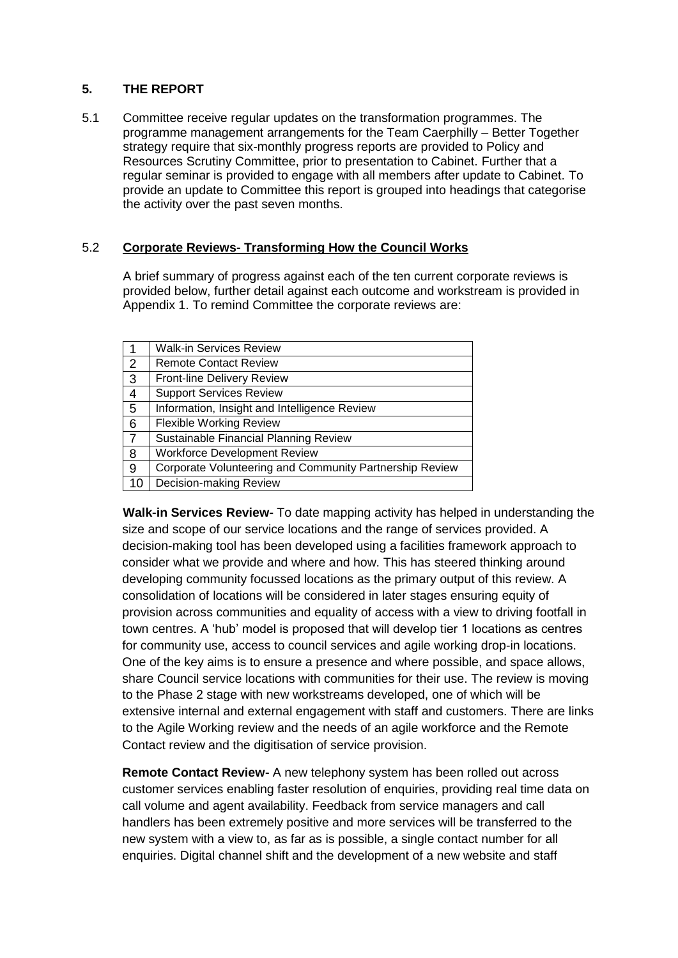# **5. THE REPORT**

5.1 Committee receive regular updates on the transformation programmes. The programme management arrangements for the Team Caerphilly – Better Together strategy require that six-monthly progress reports are provided to Policy and Resources Scrutiny Committee, prior to presentation to Cabinet. Further that a regular seminar is provided to engage with all members after update to Cabinet. To provide an update to Committee this report is grouped into headings that categorise the activity over the past seven months.

# 5.2 **Corporate Reviews- Transforming How the Council Works**

A brief summary of progress against each of the ten current corporate reviews is provided below, further detail against each outcome and workstream is provided in Appendix 1. To remind Committee the corporate reviews are:

|                | <b>Walk-in Services Review</b>                          |
|----------------|---------------------------------------------------------|
| $\overline{2}$ | <b>Remote Contact Review</b>                            |
| 3              | <b>Front-line Delivery Review</b>                       |
| $\overline{4}$ | <b>Support Services Review</b>                          |
| 5              | Information, Insight and Intelligence Review            |
| 6              | <b>Flexible Working Review</b>                          |
|                | Sustainable Financial Planning Review                   |
| 8              | <b>Workforce Development Review</b>                     |
| 9              | Corporate Volunteering and Community Partnership Review |
| 10             | Decision-making Review                                  |

**Walk-in Services Review-** To date mapping activity has helped in understanding the size and scope of our service locations and the range of services provided. A decision-making tool has been developed using a facilities framework approach to consider what we provide and where and how. This has steered thinking around developing community focussed locations as the primary output of this review. A consolidation of locations will be considered in later stages ensuring equity of provision across communities and equality of access with a view to driving footfall in town centres. A 'hub' model is proposed that will develop tier 1 locations as centres for community use, access to council services and agile working drop-in locations. One of the key aims is to ensure a presence and where possible, and space allows, share Council service locations with communities for their use. The review is moving to the Phase 2 stage with new workstreams developed, one of which will be extensive internal and external engagement with staff and customers. There are links to the Agile Working review and the needs of an agile workforce and the Remote Contact review and the digitisation of service provision.

**Remote Contact Review-** A new telephony system has been rolled out across customer services enabling faster resolution of enquiries, providing real time data on call volume and agent availability. Feedback from service managers and call handlers has been extremely positive and more services will be transferred to the new system with a view to, as far as is possible, a single contact number for all enquiries. Digital channel shift and the development of a new website and staff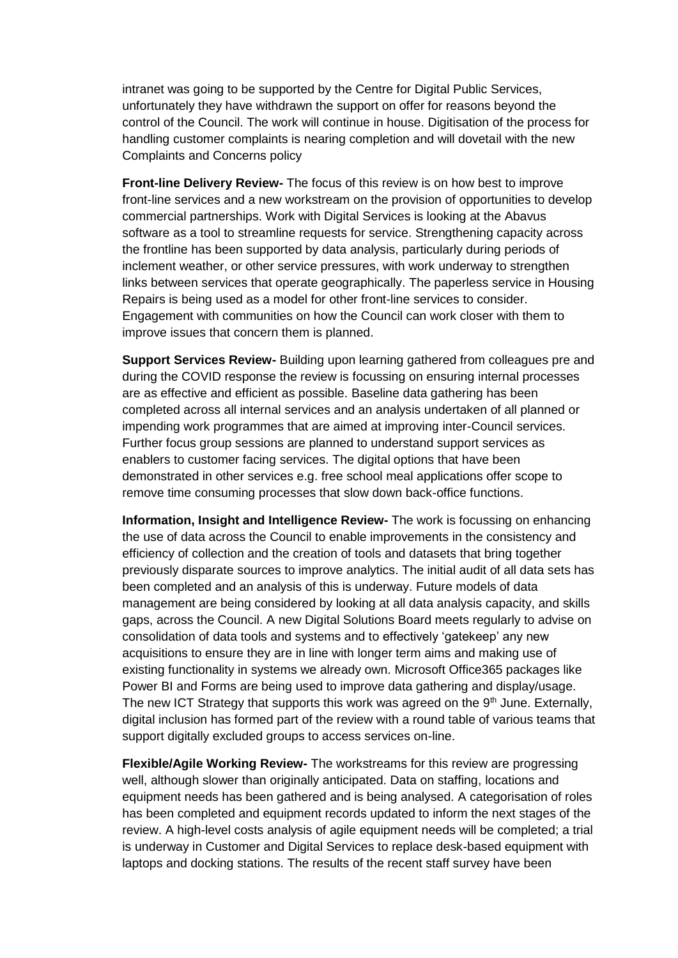intranet was going to be supported by the Centre for Digital Public Services, unfortunately they have withdrawn the support on offer for reasons beyond the control of the Council. The work will continue in house. Digitisation of the process for handling customer complaints is nearing completion and will dovetail with the new Complaints and Concerns policy

**Front-line Delivery Review-** The focus of this review is on how best to improve front-line services and a new workstream on the provision of opportunities to develop commercial partnerships. Work with Digital Services is looking at the Abavus software as a tool to streamline requests for service. Strengthening capacity across the frontline has been supported by data analysis, particularly during periods of inclement weather, or other service pressures, with work underway to strengthen links between services that operate geographically. The paperless service in Housing Repairs is being used as a model for other front-line services to consider. Engagement with communities on how the Council can work closer with them to improve issues that concern them is planned.

**Support Services Review-** Building upon learning gathered from colleagues pre and during the COVID response the review is focussing on ensuring internal processes are as effective and efficient as possible. Baseline data gathering has been completed across all internal services and an analysis undertaken of all planned or impending work programmes that are aimed at improving inter-Council services. Further focus group sessions are planned to understand support services as enablers to customer facing services. The digital options that have been demonstrated in other services e.g. free school meal applications offer scope to remove time consuming processes that slow down back-office functions.

**Information, Insight and Intelligence Review-** The work is focussing on enhancing the use of data across the Council to enable improvements in the consistency and efficiency of collection and the creation of tools and datasets that bring together previously disparate sources to improve analytics. The initial audit of all data sets has been completed and an analysis of this is underway. Future models of data management are being considered by looking at all data analysis capacity, and skills gaps, across the Council. A new Digital Solutions Board meets regularly to advise on consolidation of data tools and systems and to effectively 'gatekeep' any new acquisitions to ensure they are in line with longer term aims and making use of existing functionality in systems we already own. Microsoft Office365 packages like Power BI and Forms are being used to improve data gathering and display/usage. The new ICT Strategy that supports this work was agreed on the  $9<sup>th</sup>$  June. Externally, digital inclusion has formed part of the review with a round table of various teams that support digitally excluded groups to access services on-line.

**Flexible/Agile Working Review-** The workstreams for this review are progressing well, although slower than originally anticipated. Data on staffing, locations and equipment needs has been gathered and is being analysed. A categorisation of roles has been completed and equipment records updated to inform the next stages of the review. A high-level costs analysis of agile equipment needs will be completed; a trial is underway in Customer and Digital Services to replace desk-based equipment with laptops and docking stations. The results of the recent staff survey have been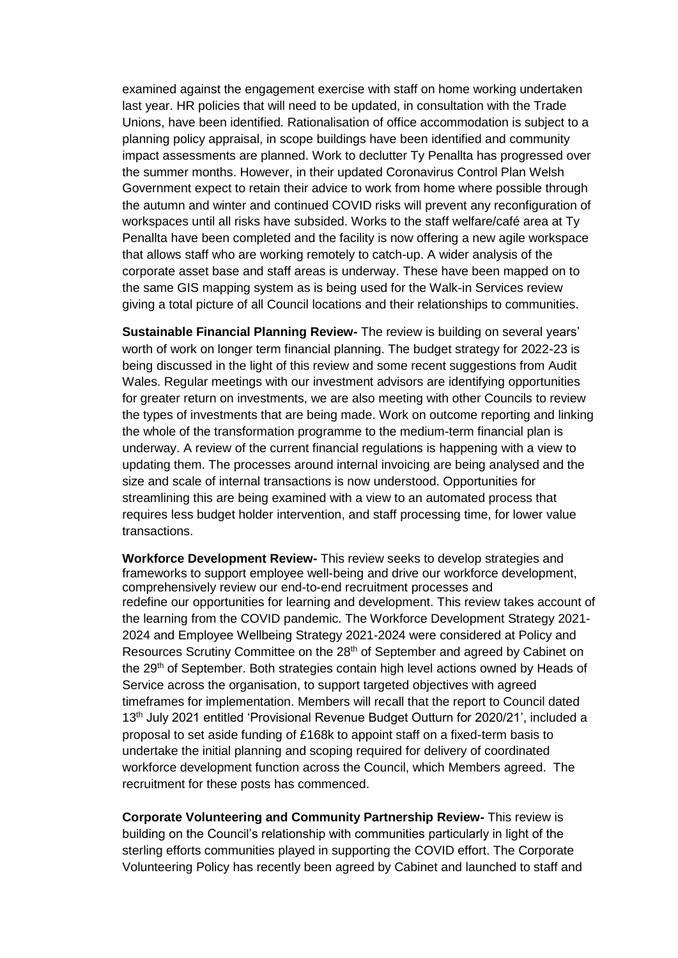examined against the engagement exercise with staff on home working undertaken last year. HR policies that will need to be updated, in consultation with the Trade Unions, have been identified. Rationalisation of office accommodation is subject to a planning policy appraisal, in scope buildings have been identified and community impact assessments are planned. Work to declutter Ty Penallta has progressed over the summer months. However, in their updated Coronavirus Control Plan Welsh Government expect to retain their advice to work from home where possible through the autumn and winter and continued COVID risks will prevent any reconfiguration of workspaces until all risks have subsided. Works to the staff welfare/café area at Ty Penallta have been completed and the facility is now offering a new agile workspace that allows staff who are working remotely to catch-up. A wider analysis of the corporate asset base and staff areas is underway. These have been mapped on to the same GIS mapping system as is being used for the Walk-in Services review giving a total picture of all Council locations and their relationships to communities.

**Sustainable Financial Planning Review-** The review is building on several years' worth of work on longer term financial planning. The budget strategy for 2022-23 is being discussed in the light of this review and some recent suggestions from Audit Wales. Regular meetings with our investment advisors are identifying opportunities for greater return on investments, we are also meeting with other Councils to review the types of investments that are being made. Work on outcome reporting and linking the whole of the transformation programme to the medium-term financial plan is underway. A review of the current financial regulations is happening with a view to updating them. The processes around internal invoicing are being analysed and the size and scale of internal transactions is now understood. Opportunities for streamlining this are being examined with a view to an automated process that requires less budget holder intervention, and staff processing time, for lower value transactions.

**Workforce Development Review-** This review seeks to develop strategies and frameworks to support employee well-being and drive our workforce development, comprehensively review our end-to-end recruitment processes and redefine our opportunities for learning and development. This review takes account of the learning from the COVID pandemic. The Workforce Development Strategy 2021- 2024 and Employee Wellbeing Strategy 2021-2024 were considered at Policy and Resources Scrutiny Committee on the 28<sup>th</sup> of September and agreed by Cabinet on the 29<sup>th</sup> of September. Both strategies contain high level actions owned by Heads of Service across the organisation, to support targeted objectives with agreed timeframes for implementation. Members will recall that the report to Council dated 13<sup>th</sup> July 2021 entitled 'Provisional Revenue Budget Outturn for 2020/21', included a proposal to set aside funding of £168k to appoint staff on a fixed-term basis to undertake the initial planning and scoping required for delivery of coordinated workforce development function across the Council, which Members agreed. The recruitment for these posts has commenced.

**Corporate Volunteering and Community Partnership Review-** This review is building on the Council's relationship with communities particularly in light of the sterling efforts communities played in supporting the COVID effort. The Corporate Volunteering Policy has recently been agreed by Cabinet and launched to staff and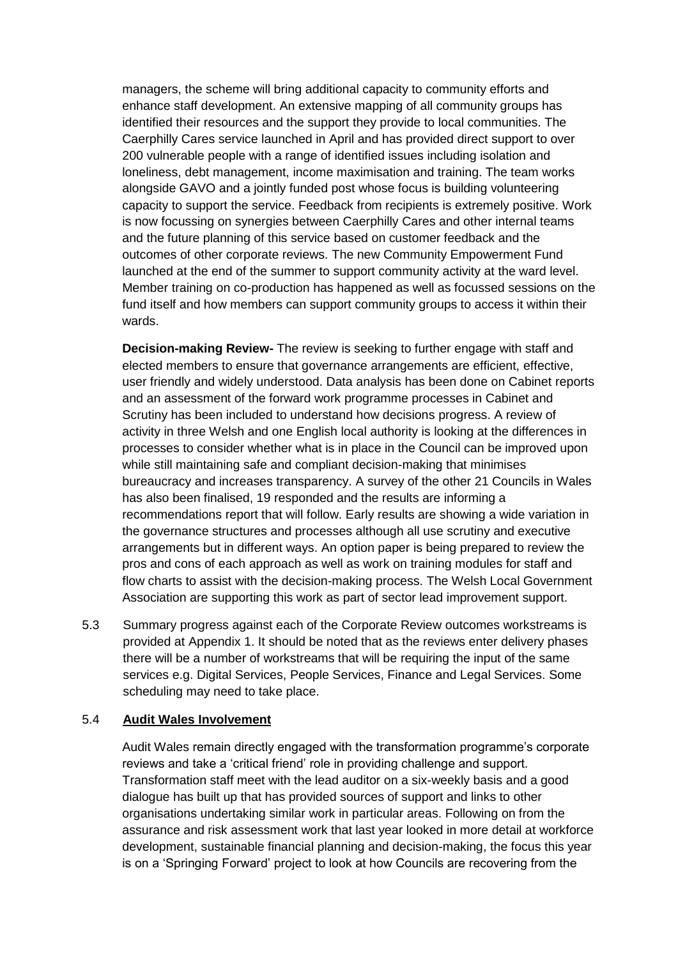managers, the scheme will bring additional capacity to community efforts and enhance staff development. An extensive mapping of all community groups has identified their resources and the support they provide to local communities. The Caerphilly Cares service launched in April and has provided direct support to over 200 vulnerable people with a range of identified issues including isolation and loneliness, debt management, income maximisation and training. The team works alongside GAVO and a jointly funded post whose focus is building volunteering capacity to support the service. Feedback from recipients is extremely positive. Work is now focussing on synergies between Caerphilly Cares and other internal teams and the future planning of this service based on customer feedback and the outcomes of other corporate reviews. The new Community Empowerment Fund launched at the end of the summer to support community activity at the ward level. Member training on co-production has happened as well as focussed sessions on the fund itself and how members can support community groups to access it within their wards.

**Decision-making Review-** The review is seeking to further engage with staff and elected members to ensure that governance arrangements are efficient, effective, user friendly and widely understood. Data analysis has been done on Cabinet reports and an assessment of the forward work programme processes in Cabinet and Scrutiny has been included to understand how decisions progress. A review of activity in three Welsh and one English local authority is looking at the differences in processes to consider whether what is in place in the Council can be improved upon while still maintaining safe and compliant decision-making that minimises bureaucracy and increases transparency. A survey of the other 21 Councils in Wales has also been finalised, 19 responded and the results are informing a recommendations report that will follow. Early results are showing a wide variation in the governance structures and processes although all use scrutiny and executive arrangements but in different ways. An option paper is being prepared to review the pros and cons of each approach as well as work on training modules for staff and flow charts to assist with the decision-making process. The Welsh Local Government Association are supporting this work as part of sector lead improvement support.

5.3 Summary progress against each of the Corporate Review outcomes workstreams is provided at Appendix 1. It should be noted that as the reviews enter delivery phases there will be a number of workstreams that will be requiring the input of the same services e.g. Digital Services, People Services, Finance and Legal Services. Some scheduling may need to take place.

# 5.4 **Audit Wales Involvement**

Audit Wales remain directly engaged with the transformation programme's corporate reviews and take a 'critical friend' role in providing challenge and support. Transformation staff meet with the lead auditor on a six-weekly basis and a good dialogue has built up that has provided sources of support and links to other organisations undertaking similar work in particular areas. Following on from the assurance and risk assessment work that last year looked in more detail at workforce development, sustainable financial planning and decision-making, the focus this year is on a 'Springing Forward' project to look at how Councils are recovering from the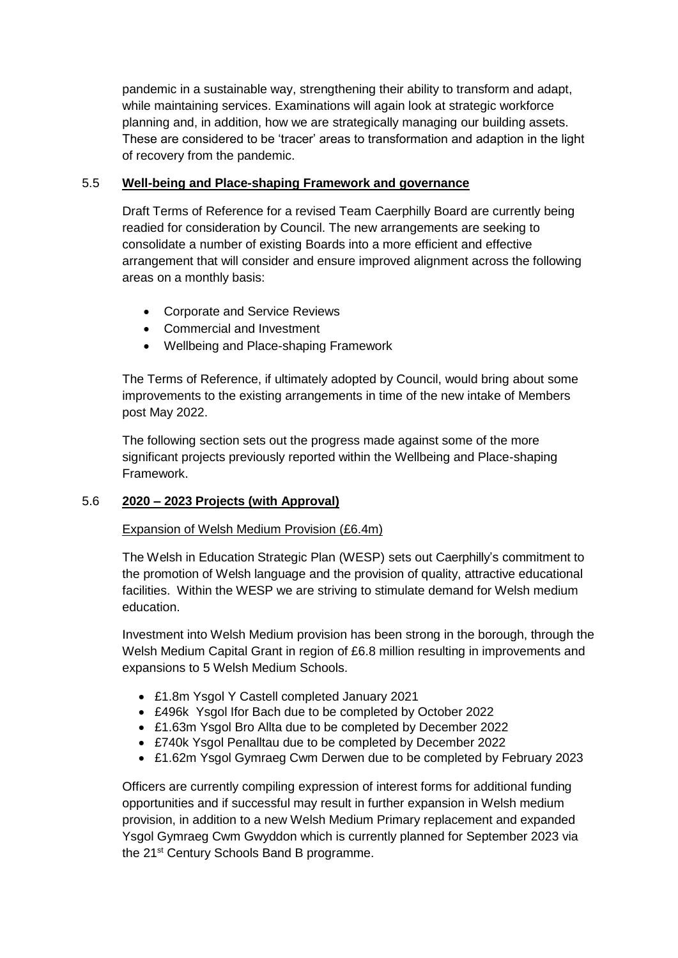pandemic in a sustainable way, strengthening their ability to transform and adapt, while maintaining services. Examinations will again look at strategic workforce planning and, in addition, how we are strategically managing our building assets. These are considered to be 'tracer' areas to transformation and adaption in the light of recovery from the pandemic.

# 5.5 **Well-being and Place-shaping Framework and governance**

Draft Terms of Reference for a revised Team Caerphilly Board are currently being readied for consideration by Council. The new arrangements are seeking to consolidate a number of existing Boards into a more efficient and effective arrangement that will consider and ensure improved alignment across the following areas on a monthly basis:

- Corporate and Service Reviews
- Commercial and Investment
- Wellbeing and Place-shaping Framework

The Terms of Reference, if ultimately adopted by Council, would bring about some improvements to the existing arrangements in time of the new intake of Members post May 2022.

The following section sets out the progress made against some of the more significant projects previously reported within the Wellbeing and Place-shaping Framework.

# 5.6 **2020 – 2023 Projects (with Approval)**

# Expansion of Welsh Medium Provision (£6.4m)

The Welsh in Education Strategic Plan (WESP) sets out Caerphilly's commitment to the promotion of Welsh language and the provision of quality, attractive educational facilities. Within the WESP we are striving to stimulate demand for Welsh medium education.

Investment into Welsh Medium provision has been strong in the borough, through the Welsh Medium Capital Grant in region of £6.8 million resulting in improvements and expansions to 5 Welsh Medium Schools.

- £1.8m Ysgol Y Castell completed January 2021
- £496k Ysgol Ifor Bach due to be completed by October 2022
- £1.63m Ysgol Bro Allta due to be completed by December 2022
- £740k Ysgol Penalltau due to be completed by December 2022
- £1.62m Ysgol Gymraeg Cwm Derwen due to be completed by February 2023

Officers are currently compiling expression of interest forms for additional funding opportunities and if successful may result in further expansion in Welsh medium provision, in addition to a new Welsh Medium Primary replacement and expanded Ysgol Gymraeg Cwm Gwyddon which is currently planned for September 2023 via the 21<sup>st</sup> Century Schools Band B programme.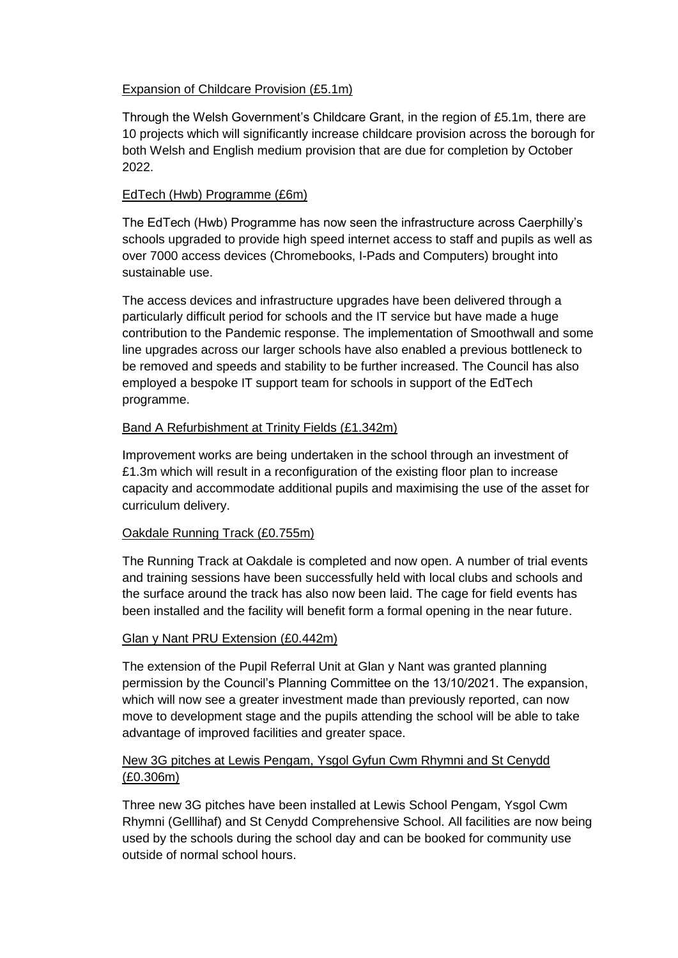# Expansion of Childcare Provision (£5.1m)

Through the Welsh Government's Childcare Grant, in the region of £5.1m, there are 10 projects which will significantly increase childcare provision across the borough for both Welsh and English medium provision that are due for completion by October 2022.

# EdTech (Hwb) Programme (£6m)

The EdTech (Hwb) Programme has now seen the infrastructure across Caerphilly's schools upgraded to provide high speed internet access to staff and pupils as well as over 7000 access devices (Chromebooks, I-Pads and Computers) brought into sustainable use.

The access devices and infrastructure upgrades have been delivered through a particularly difficult period for schools and the IT service but have made a huge contribution to the Pandemic response. The implementation of Smoothwall and some line upgrades across our larger schools have also enabled a previous bottleneck to be removed and speeds and stability to be further increased. The Council has also employed a bespoke IT support team for schools in support of the EdTech programme.

# Band A Refurbishment at Trinity Fields (£1.342m)

Improvement works are being undertaken in the school through an investment of £1.3m which will result in a reconfiguration of the existing floor plan to increase capacity and accommodate additional pupils and maximising the use of the asset for curriculum delivery.

# Oakdale Running Track (£0.755m)

The Running Track at Oakdale is completed and now open. A number of trial events and training sessions have been successfully held with local clubs and schools and the surface around the track has also now been laid. The cage for field events has been installed and the facility will benefit form a formal opening in the near future.

#### Glan y Nant PRU Extension (£0.442m)

The extension of the Pupil Referral Unit at Glan y Nant was granted planning permission by the Council's Planning Committee on the 13/10/2021. The expansion, which will now see a greater investment made than previously reported, can now move to development stage and the pupils attending the school will be able to take advantage of improved facilities and greater space.

# New 3G pitches at Lewis Pengam, Ysgol Gyfun Cwm Rhymni and St Cenydd (£0.306m)

Three new 3G pitches have been installed at Lewis School Pengam, Ysgol Cwm Rhymni (Gelllihaf) and St Cenydd Comprehensive School. All facilities are now being used by the schools during the school day and can be booked for community use outside of normal school hours.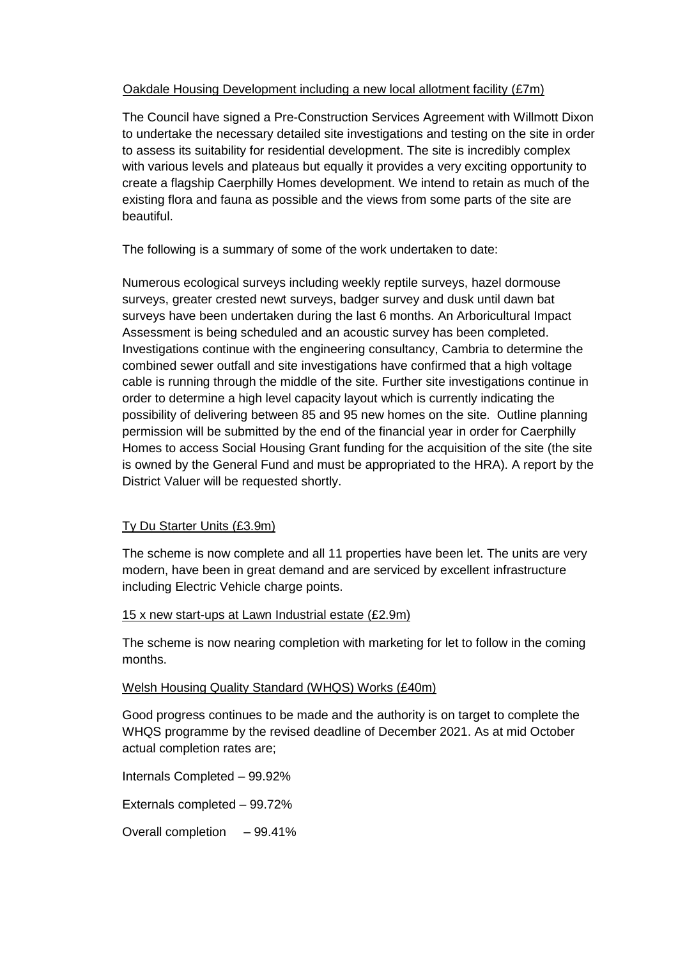## Oakdale Housing Development including a new local allotment facility (£7m)

The Council have signed a Pre-Construction Services Agreement with Willmott Dixon to undertake the necessary detailed site investigations and testing on the site in order to assess its suitability for residential development. The site is incredibly complex with various levels and plateaus but equally it provides a very exciting opportunity to create a flagship Caerphilly Homes development. We intend to retain as much of the existing flora and fauna as possible and the views from some parts of the site are beautiful.

The following is a summary of some of the work undertaken to date:

Numerous ecological surveys including weekly reptile surveys, hazel dormouse surveys, greater crested newt surveys, badger survey and dusk until dawn bat surveys have been undertaken during the last 6 months. An Arboricultural Impact Assessment is being scheduled and an acoustic survey has been completed. Investigations continue with the engineering consultancy, Cambria to determine the combined sewer outfall and site investigations have confirmed that a high voltage cable is running through the middle of the site. Further site investigations continue in order to determine a high level capacity layout which is currently indicating the possibility of delivering between 85 and 95 new homes on the site. Outline planning permission will be submitted by the end of the financial year in order for Caerphilly Homes to access Social Housing Grant funding for the acquisition of the site (the site is owned by the General Fund and must be appropriated to the HRA). A report by the District Valuer will be requested shortly.

# Ty Du Starter Units (£3.9m)

The scheme is now complete and all 11 properties have been let. The units are very modern, have been in great demand and are serviced by excellent infrastructure including Electric Vehicle charge points.

#### 15 x new start-ups at Lawn Industrial estate (£2.9m)

The scheme is now nearing completion with marketing for let to follow in the coming months.

#### Welsh Housing Quality Standard (WHQS) Works (£40m)

Good progress continues to be made and the authority is on target to complete the WHQS programme by the revised deadline of December 2021. As at mid October actual completion rates are;

Internals Completed – 99.92%

Externals completed – 99.72%

Overall completion – 99.41%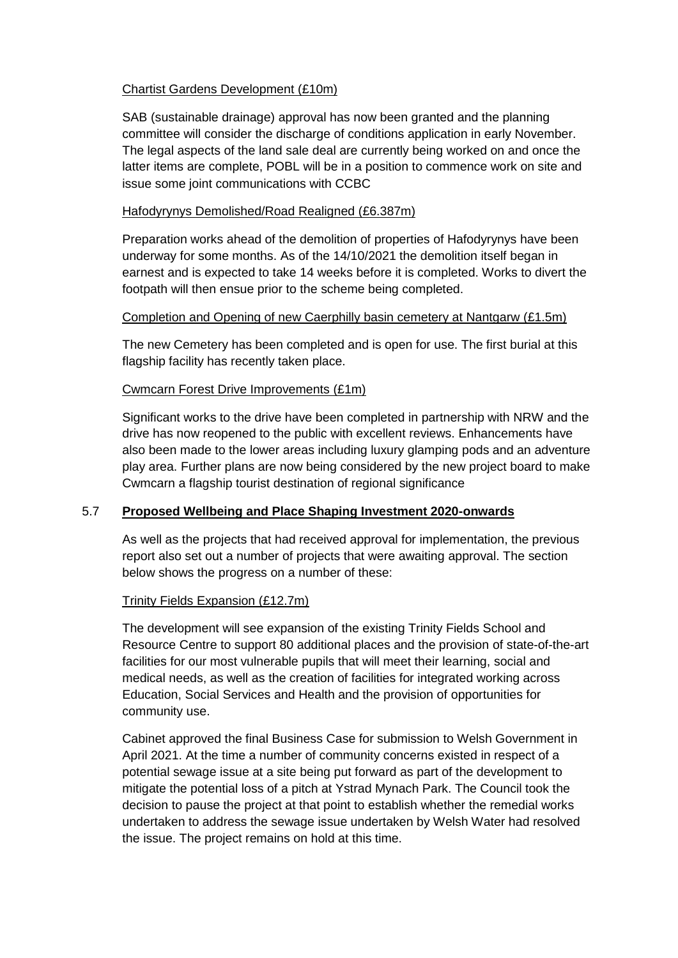#### Chartist Gardens Development (£10m)

SAB (sustainable drainage) approval has now been granted and the planning committee will consider the discharge of conditions application in early November. The legal aspects of the land sale deal are currently being worked on and once the latter items are complete, POBL will be in a position to commence work on site and issue some joint communications with CCBC

## Hafodyrynys Demolished/Road Realigned (£6.387m)

Preparation works ahead of the demolition of properties of Hafodyrynys have been underway for some months. As of the 14/10/2021 the demolition itself began in earnest and is expected to take 14 weeks before it is completed. Works to divert the footpath will then ensue prior to the scheme being completed.

#### Completion and Opening of new Caerphilly basin cemetery at Nantgarw (£1.5m)

The new Cemetery has been completed and is open for use. The first burial at this flagship facility has recently taken place.

# Cwmcarn Forest Drive Improvements (£1m)

Significant works to the drive have been completed in partnership with NRW and the drive has now reopened to the public with excellent reviews. Enhancements have also been made to the lower areas including luxury glamping pods and an adventure play area. Further plans are now being considered by the new project board to make Cwmcarn a flagship tourist destination of regional significance

# 5.7 **Proposed Wellbeing and Place Shaping Investment 2020-onwards**

As well as the projects that had received approval for implementation, the previous report also set out a number of projects that were awaiting approval. The section below shows the progress on a number of these:

#### Trinity Fields Expansion (£12.7m)

The development will see expansion of the existing Trinity Fields School and Resource Centre to support 80 additional places and the provision of state-of-the-art facilities for our most vulnerable pupils that will meet their learning, social and medical needs, as well as the creation of facilities for integrated working across Education, Social Services and Health and the provision of opportunities for community use.

Cabinet approved the final Business Case for submission to Welsh Government in April 2021. At the time a number of community concerns existed in respect of a potential sewage issue at a site being put forward as part of the development to mitigate the potential loss of a pitch at Ystrad Mynach Park. The Council took the decision to pause the project at that point to establish whether the remedial works undertaken to address the sewage issue undertaken by Welsh Water had resolved the issue. The project remains on hold at this time.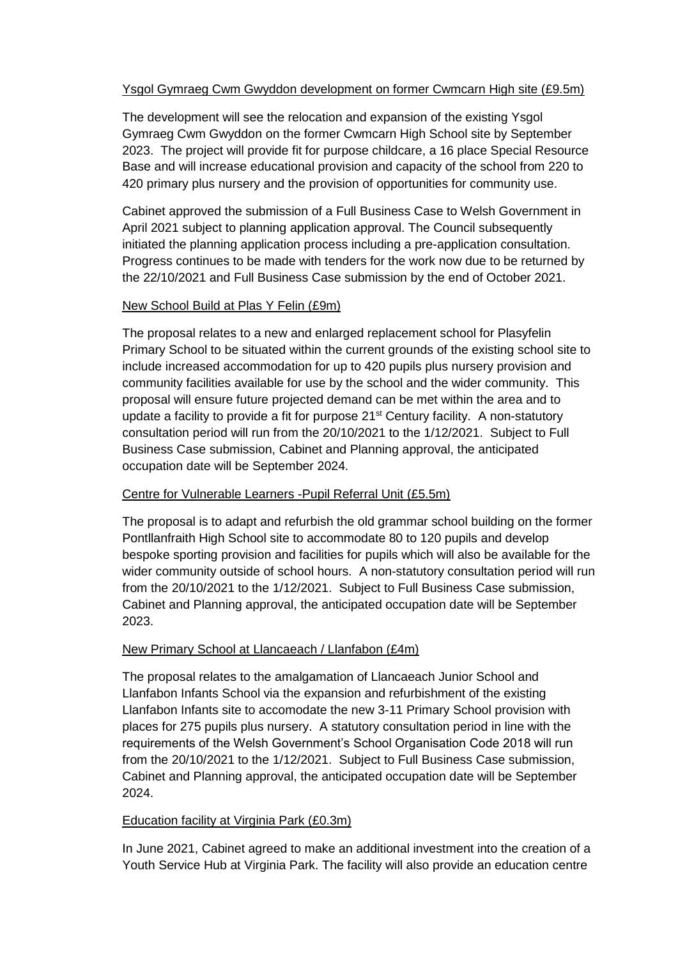# Ysgol Gymraeg Cwm Gwyddon development on former Cwmcarn High site (£9.5m)

The development will see the relocation and expansion of the existing Ysgol Gymraeg Cwm Gwyddon on the former Cwmcarn High School site by September 2023. The project will provide fit for purpose childcare, a 16 place Special Resource Base and will increase educational provision and capacity of the school from 220 to 420 primary plus nursery and the provision of opportunities for community use.

Cabinet approved the submission of a Full Business Case to Welsh Government in April 2021 subject to planning application approval. The Council subsequently initiated the planning application process including a pre-application consultation. Progress continues to be made with tenders for the work now due to be returned by the 22/10/2021 and Full Business Case submission by the end of October 2021.

#### New School Build at Plas Y Felin (£9m)

The proposal relates to a new and enlarged replacement school for Plasyfelin Primary School to be situated within the current grounds of the existing school site to include increased accommodation for up to 420 pupils plus nursery provision and community facilities available for use by the school and the wider community. This proposal will ensure future projected demand can be met within the area and to update a facility to provide a fit for purpose  $21^{st}$  Century facility. A non-statutory consultation period will run from the 20/10/2021 to the 1/12/2021. Subject to Full Business Case submission, Cabinet and Planning approval, the anticipated occupation date will be September 2024.

#### Centre for Vulnerable Learners -Pupil Referral Unit (£5.5m)

The proposal is to adapt and refurbish the old grammar school building on the former Pontllanfraith High School site to accommodate 80 to 120 pupils and develop bespoke sporting provision and facilities for pupils which will also be available for the wider community outside of school hours. A non-statutory consultation period will run from the 20/10/2021 to the 1/12/2021. Subject to Full Business Case submission, Cabinet and Planning approval, the anticipated occupation date will be September 2023.

#### New Primary School at Llancaeach / Llanfabon (£4m)

The proposal relates to the amalgamation of Llancaeach Junior School and Llanfabon Infants School via the expansion and refurbishment of the existing Llanfabon Infants site to accomodate the new 3-11 Primary School provision with places for 275 pupils plus nursery. A statutory consultation period in line with the requirements of the Welsh Government's School Organisation Code 2018 will run from the 20/10/2021 to the 1/12/2021. Subject to Full Business Case submission, Cabinet and Planning approval, the anticipated occupation date will be September 2024.

#### Education facility at Virginia Park (£0.3m)

In June 2021, Cabinet agreed to make an additional investment into the creation of a Youth Service Hub at Virginia Park. The facility will also provide an education centre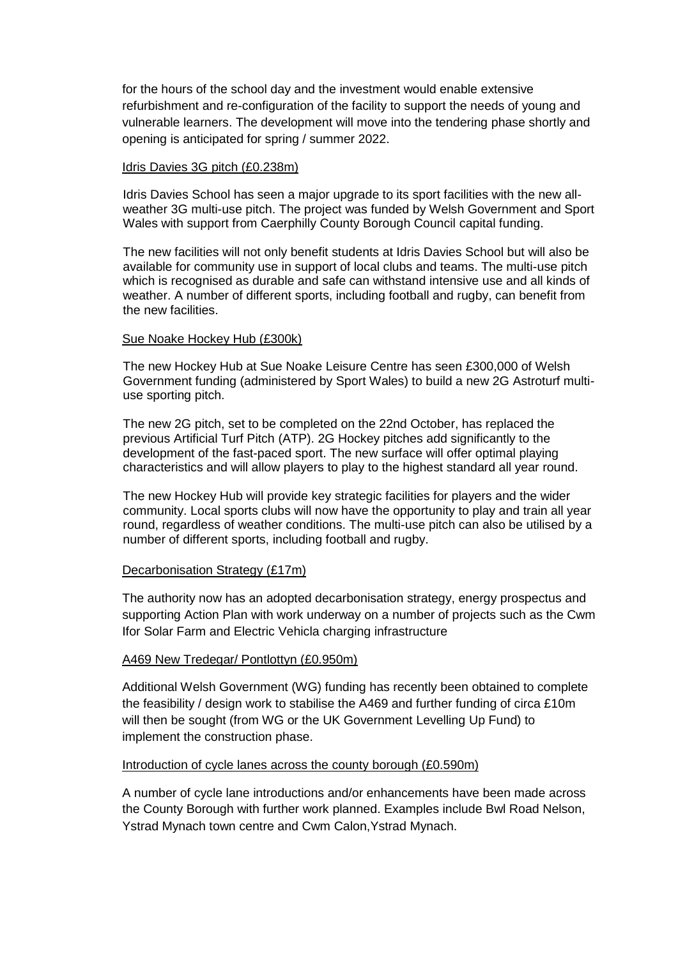for the hours of the school day and the investment would enable extensive refurbishment and re-configuration of the facility to support the needs of young and vulnerable learners. The development will move into the tendering phase shortly and opening is anticipated for spring / summer 2022.

#### Idris Davies 3G pitch (£0.238m)

Idris Davies School has seen a major upgrade to its sport facilities with the new allweather 3G multi-use pitch. The project was funded by Welsh Government and Sport Wales with support from Caerphilly County Borough Council capital funding.

The new facilities will not only benefit students at Idris Davies School but will also be available for community use in support of local clubs and teams. The multi-use pitch which is recognised as durable and safe can withstand intensive use and all kinds of weather. A number of different sports, including football and rugby, can benefit from the new facilities.

#### Sue Noake Hockey Hub (£300k)

The new Hockey Hub at Sue Noake Leisure Centre has seen £300,000 of Welsh Government funding (administered by Sport Wales) to build a new 2G Astroturf multiuse sporting pitch.

The new 2G pitch, set to be completed on the 22nd October, has replaced the previous Artificial Turf Pitch (ATP). 2G Hockey pitches add significantly to the development of the fast-paced sport. The new surface will offer optimal playing characteristics and will allow players to play to the highest standard all year round.

The new Hockey Hub will provide key strategic facilities for players and the wider community. Local sports clubs will now have the opportunity to play and train all year round, regardless of weather conditions. The multi-use pitch can also be utilised by a number of different sports, including football and rugby.

#### Decarbonisation Strategy (£17m)

The authority now has an adopted decarbonisation strategy, energy prospectus and supporting Action Plan with work underway on a number of projects such as the Cwm Ifor Solar Farm and Electric Vehicla charging infrastructure

#### A469 New Tredegar/ Pontlottyn (£0.950m)

Additional Welsh Government (WG) funding has recently been obtained to complete the feasibility / design work to stabilise the A469 and further funding of circa £10m will then be sought (from WG or the UK Government Levelling Up Fund) to implement the construction phase.

#### Introduction of cycle lanes across the county borough (£0.590m)

A number of cycle lane introductions and/or enhancements have been made across the County Borough with further work planned. Examples include Bwl Road Nelson, Ystrad Mynach town centre and Cwm Calon,Ystrad Mynach.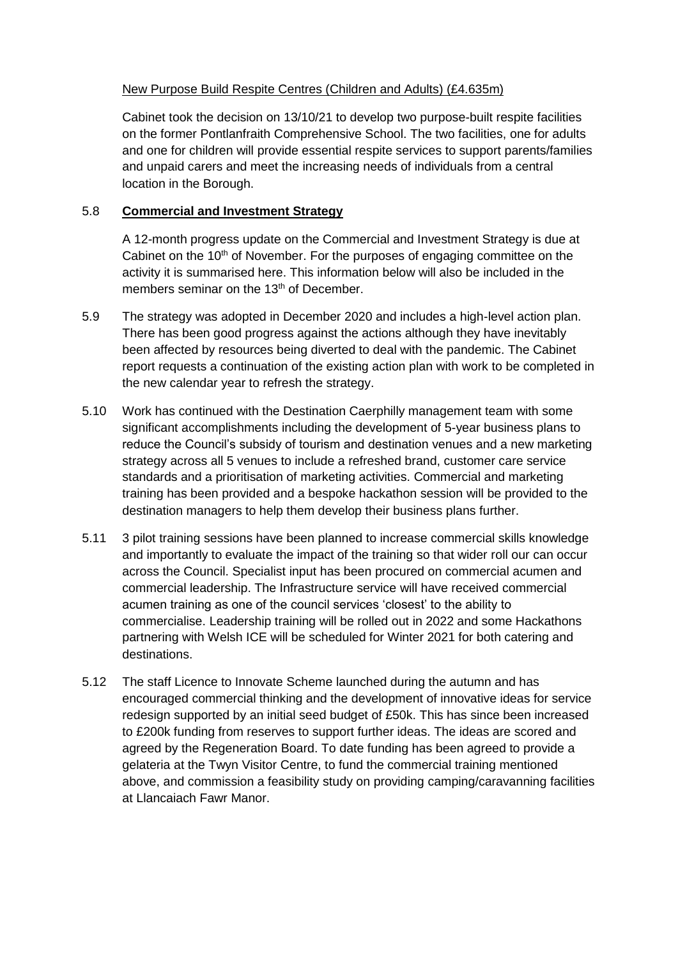# New Purpose Build Respite Centres (Children and Adults) (£4.635m)

Cabinet took the decision on 13/10/21 to develop two purpose-built respite facilities on the former Pontlanfraith Comprehensive School. The two facilities, one for adults and one for children will provide essential respite services to support parents/families and unpaid carers and meet the increasing needs of individuals from a central location in the Borough.

# 5.8 **Commercial and Investment Strategy**

A 12-month progress update on the Commercial and Investment Strategy is due at Cabinet on the  $10<sup>th</sup>$  of November. For the purposes of engaging committee on the activity it is summarised here. This information below will also be included in the members seminar on the 13<sup>th</sup> of December.

- 5.9 The strategy was adopted in December 2020 and includes a high-level action plan. There has been good progress against the actions although they have inevitably been affected by resources being diverted to deal with the pandemic. The Cabinet report requests a continuation of the existing action plan with work to be completed in the new calendar year to refresh the strategy.
- 5.10 Work has continued with the Destination Caerphilly management team with some significant accomplishments including the development of 5-year business plans to reduce the Council's subsidy of tourism and destination venues and a new marketing strategy across all 5 venues to include a refreshed brand, customer care service standards and a prioritisation of marketing activities. Commercial and marketing training has been provided and a bespoke hackathon session will be provided to the destination managers to help them develop their business plans further.
- 5.11 3 pilot training sessions have been planned to increase commercial skills knowledge and importantly to evaluate the impact of the training so that wider roll our can occur across the Council. Specialist input has been procured on commercial acumen and commercial leadership. The Infrastructure service will have received commercial acumen training as one of the council services 'closest' to the ability to commercialise. Leadership training will be rolled out in 2022 and some Hackathons partnering with Welsh ICE will be scheduled for Winter 2021 for both catering and destinations.
- 5.12 The staff Licence to Innovate Scheme launched during the autumn and has encouraged commercial thinking and the development of innovative ideas for service redesign supported by an initial seed budget of £50k. This has since been increased to £200k funding from reserves to support further ideas. The ideas are scored and agreed by the Regeneration Board. To date funding has been agreed to provide a gelateria at the Twyn Visitor Centre, to fund the commercial training mentioned above, and commission a feasibility study on providing camping/caravanning facilities at Llancaiach Fawr Manor.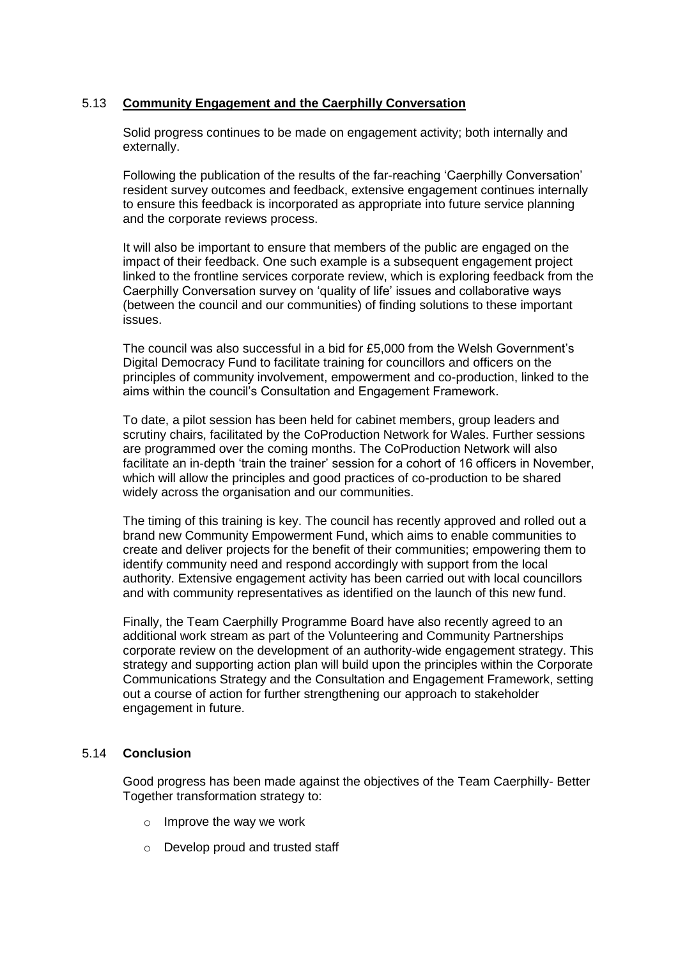# 5.13 **Community Engagement and the Caerphilly Conversation**

Solid progress continues to be made on engagement activity; both internally and externally.

Following the publication of the results of the far-reaching 'Caerphilly Conversation' resident survey outcomes and feedback, extensive engagement continues internally to ensure this feedback is incorporated as appropriate into future service planning and the corporate reviews process.

It will also be important to ensure that members of the public are engaged on the impact of their feedback. One such example is a subsequent engagement project linked to the frontline services corporate review, which is exploring feedback from the Caerphilly Conversation survey on 'quality of life' issues and collaborative ways (between the council and our communities) of finding solutions to these important issues.

The council was also successful in a bid for £5,000 from the Welsh Government's Digital Democracy Fund to facilitate training for councillors and officers on the principles of community involvement, empowerment and co-production, linked to the aims within the council's Consultation and Engagement Framework.

To date, a pilot session has been held for cabinet members, group leaders and scrutiny chairs, facilitated by the CoProduction Network for Wales. Further sessions are programmed over the coming months. The CoProduction Network will also facilitate an in-depth 'train the trainer' session for a cohort of 16 officers in November, which will allow the principles and good practices of co-production to be shared widely across the organisation and our communities.

The timing of this training is key. The council has recently approved and rolled out a brand new Community Empowerment Fund, which aims to enable communities to create and deliver projects for the benefit of their communities; empowering them to identify community need and respond accordingly with support from the local authority. Extensive engagement activity has been carried out with local councillors and with community representatives as identified on the launch of this new fund.

Finally, the Team Caerphilly Programme Board have also recently agreed to an additional work stream as part of the Volunteering and Community Partnerships corporate review on the development of an authority-wide engagement strategy. This strategy and supporting action plan will build upon the principles within the Corporate Communications Strategy and the Consultation and Engagement Framework, setting out a course of action for further strengthening our approach to stakeholder engagement in future.

#### 5.14 **Conclusion**

Good progress has been made against the objectives of the Team Caerphilly- Better Together transformation strategy to:

- o Improve the way we work
- o Develop proud and trusted staff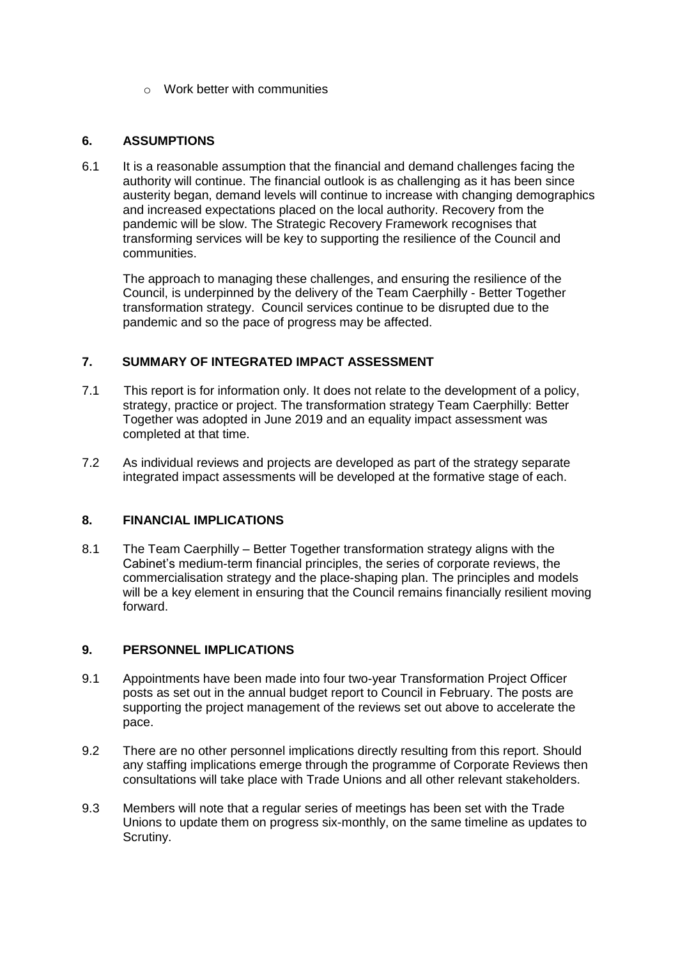o Work better with communities

## **6. ASSUMPTIONS**

6.1 It is a reasonable assumption that the financial and demand challenges facing the authority will continue. The financial outlook is as challenging as it has been since austerity began, demand levels will continue to increase with changing demographics and increased expectations placed on the local authority. Recovery from the pandemic will be slow. The Strategic Recovery Framework recognises that transforming services will be key to supporting the resilience of the Council and communities.

The approach to managing these challenges, and ensuring the resilience of the Council, is underpinned by the delivery of the Team Caerphilly - Better Together transformation strategy. Council services continue to be disrupted due to the pandemic and so the pace of progress may be affected.

#### **7. SUMMARY OF INTEGRATED IMPACT ASSESSMENT**

- 7.1 This report is for information only. It does not relate to the development of a policy, strategy, practice or project. The transformation strategy Team Caerphilly: Better Together was adopted in June 2019 and an equality impact assessment was completed at that time.
- 7.2 As individual reviews and projects are developed as part of the strategy separate integrated impact assessments will be developed at the formative stage of each.

# **8. FINANCIAL IMPLICATIONS**

8.1 The Team Caerphilly – Better Together transformation strategy aligns with the Cabinet's medium-term financial principles, the series of corporate reviews, the commercialisation strategy and the place-shaping plan. The principles and models will be a key element in ensuring that the Council remains financially resilient moving forward.

#### **9. PERSONNEL IMPLICATIONS**

- 9.1 Appointments have been made into four two-year Transformation Project Officer posts as set out in the annual budget report to Council in February. The posts are supporting the project management of the reviews set out above to accelerate the pace.
- 9.2 There are no other personnel implications directly resulting from this report. Should any staffing implications emerge through the programme of Corporate Reviews then consultations will take place with Trade Unions and all other relevant stakeholders.
- 9.3 Members will note that a regular series of meetings has been set with the Trade Unions to update them on progress six-monthly, on the same timeline as updates to Scrutiny.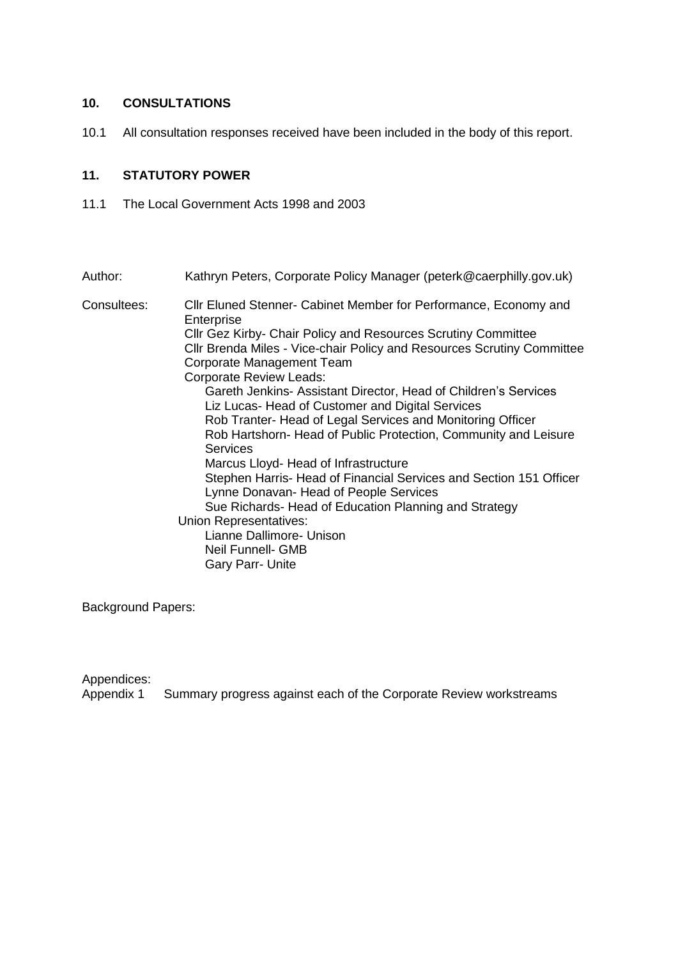# **10. CONSULTATIONS**

10.1 All consultation responses received have been included in the body of this report.

## **11. STATUTORY POWER**

11.1 The Local Government Acts 1998 and 2003

| Author:     | Kathryn Peters, Corporate Policy Manager (peterk@caerphilly.gov.uk)                                          |
|-------------|--------------------------------------------------------------------------------------------------------------|
| Consultees: | CIIr Eluned Stenner- Cabinet Member for Performance, Economy and<br>Enterprise                               |
|             | Cllr Gez Kirby- Chair Policy and Resources Scrutiny Committee                                                |
|             | CIIr Brenda Miles - Vice-chair Policy and Resources Scrutiny Committee<br>Corporate Management Team          |
|             | <b>Corporate Review Leads:</b>                                                                               |
|             | Gareth Jenkins- Assistant Director, Head of Children's Services                                              |
|             | Liz Lucas- Head of Customer and Digital Services                                                             |
|             | Rob Tranter- Head of Legal Services and Monitoring Officer                                                   |
|             | Rob Hartshorn- Head of Public Protection, Community and Leisure<br><b>Services</b>                           |
|             | Marcus Lloyd- Head of Infrastructure                                                                         |
|             | Stephen Harris- Head of Financial Services and Section 151 Officer<br>Lynne Donavan- Head of People Services |
|             | Sue Richards- Head of Education Planning and Strategy                                                        |
|             | Union Representatives:<br>Lianne Dallimore- Unison<br>Neil Funnell- GMB                                      |
|             | <b>Gary Parr- Unite</b>                                                                                      |
|             |                                                                                                              |

Background Papers:

Appendices:<br>Appendix 1 Summary progress against each of the Corporate Review workstreams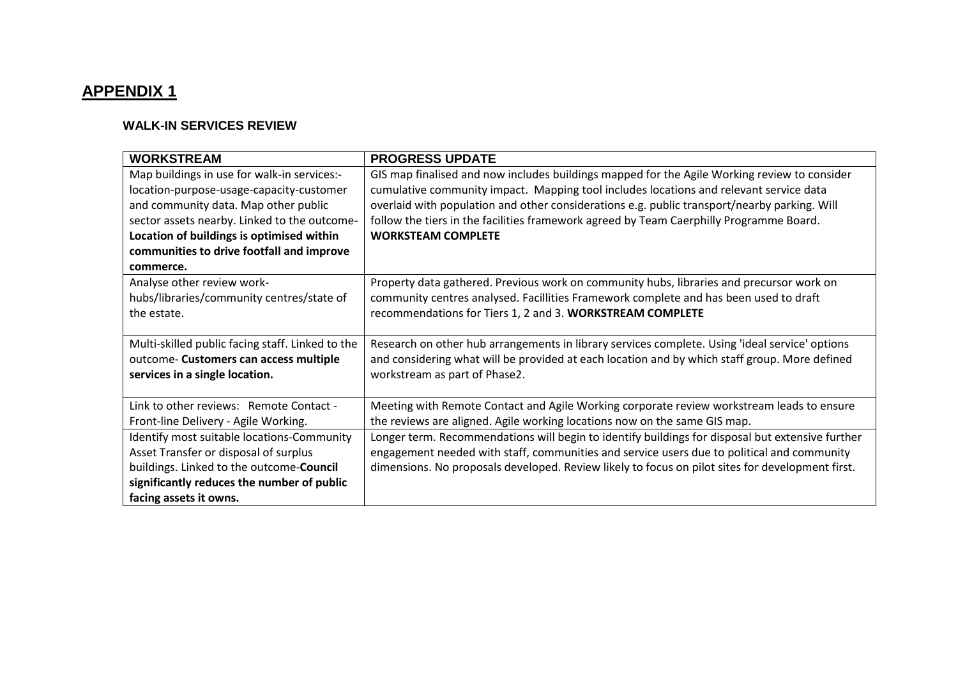# **APPENDIX 1**

# **WALK-IN SERVICES REVIEW**

| <b>WORKSTREAM</b>                                | <b>PROGRESS UPDATE</b>                                                                           |
|--------------------------------------------------|--------------------------------------------------------------------------------------------------|
|                                                  |                                                                                                  |
| Map buildings in use for walk-in services:-      | GIS map finalised and now includes buildings mapped for the Agile Working review to consider     |
| location-purpose-usage-capacity-customer         | cumulative community impact. Mapping tool includes locations and relevant service data           |
| and community data. Map other public             | overlaid with population and other considerations e.g. public transport/nearby parking. Will     |
| sector assets nearby. Linked to the outcome-     | follow the tiers in the facilities framework agreed by Team Caerphilly Programme Board.          |
| Location of buildings is optimised within        | <b>WORKSTEAM COMPLETE</b>                                                                        |
| communities to drive footfall and improve        |                                                                                                  |
| commerce.                                        |                                                                                                  |
| Analyse other review work-                       | Property data gathered. Previous work on community hubs, libraries and precursor work on         |
| hubs/libraries/community centres/state of        | community centres analysed. Facillities Framework complete and has been used to draft            |
| the estate.                                      | recommendations for Tiers 1, 2 and 3. WORKSTREAM COMPLETE                                        |
|                                                  |                                                                                                  |
| Multi-skilled public facing staff. Linked to the | Research on other hub arrangements in library services complete. Using 'ideal service' options   |
| outcome- Customers can access multiple           | and considering what will be provided at each location and by which staff group. More defined    |
| services in a single location.                   | workstream as part of Phase2.                                                                    |
|                                                  |                                                                                                  |
| Link to other reviews: Remote Contact -          | Meeting with Remote Contact and Agile Working corporate review workstream leads to ensure        |
| Front-line Delivery - Agile Working.             | the reviews are aligned. Agile working locations now on the same GIS map.                        |
| Identify most suitable locations-Community       | Longer term. Recommendations will begin to identify buildings for disposal but extensive further |
| Asset Transfer or disposal of surplus            | engagement needed with staff, communities and service users due to political and community       |
| buildings. Linked to the outcome-Council         | dimensions. No proposals developed. Review likely to focus on pilot sites for development first. |
| significantly reduces the number of public       |                                                                                                  |
| facing assets it owns.                           |                                                                                                  |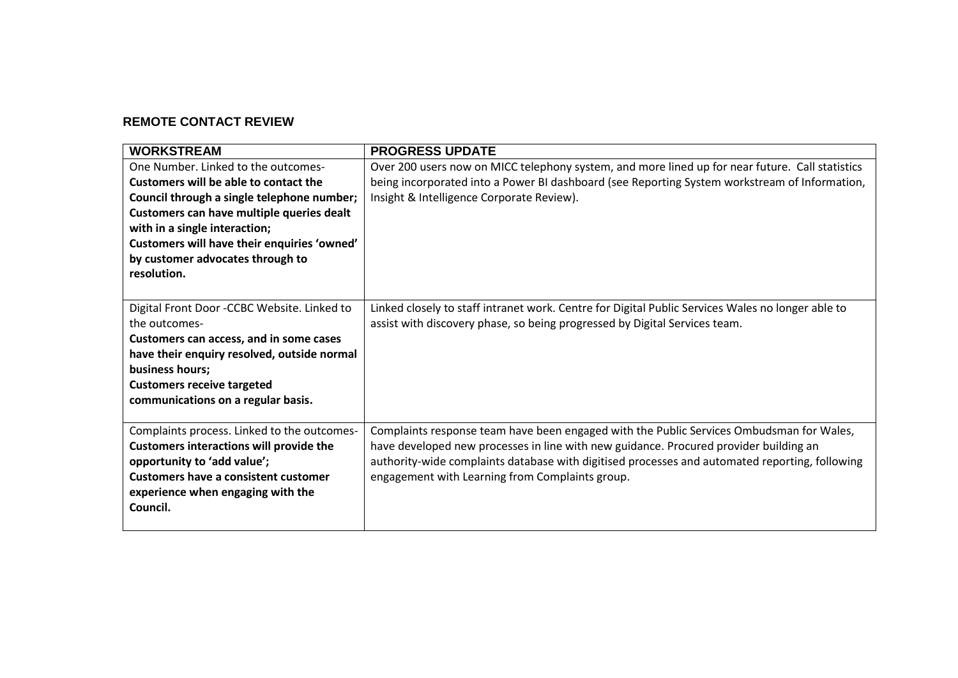# **REMOTE CONTACT REVIEW**

| <b>WORKSTREAM</b>                                                                                                                                                                                                                                                                                          | <b>PROGRESS UPDATE</b>                                                                                                                                                                                                                                                                                                                 |
|------------------------------------------------------------------------------------------------------------------------------------------------------------------------------------------------------------------------------------------------------------------------------------------------------------|----------------------------------------------------------------------------------------------------------------------------------------------------------------------------------------------------------------------------------------------------------------------------------------------------------------------------------------|
| One Number. Linked to the outcomes-<br>Customers will be able to contact the<br>Council through a single telephone number;<br>Customers can have multiple queries dealt<br>with in a single interaction;<br>Customers will have their enquiries 'owned'<br>by customer advocates through to<br>resolution. | Over 200 users now on MICC telephony system, and more lined up for near future. Call statistics<br>being incorporated into a Power BI dashboard (see Reporting System workstream of Information,<br>Insight & Intelligence Corporate Review).                                                                                          |
| Digital Front Door -CCBC Website. Linked to<br>the outcomes-<br>Customers can access, and in some cases<br>have their enquiry resolved, outside normal<br>business hours;<br><b>Customers receive targeted</b><br>communications on a regular basis.                                                       | Linked closely to staff intranet work. Centre for Digital Public Services Wales no longer able to<br>assist with discovery phase, so being progressed by Digital Services team.                                                                                                                                                        |
| Complaints process. Linked to the outcomes-<br><b>Customers interactions will provide the</b><br>opportunity to 'add value';<br><b>Customers have a consistent customer</b><br>experience when engaging with the<br>Council.                                                                               | Complaints response team have been engaged with the Public Services Ombudsman for Wales,<br>have developed new processes in line with new guidance. Procured provider building an<br>authority-wide complaints database with digitised processes and automated reporting, following<br>engagement with Learning from Complaints group. |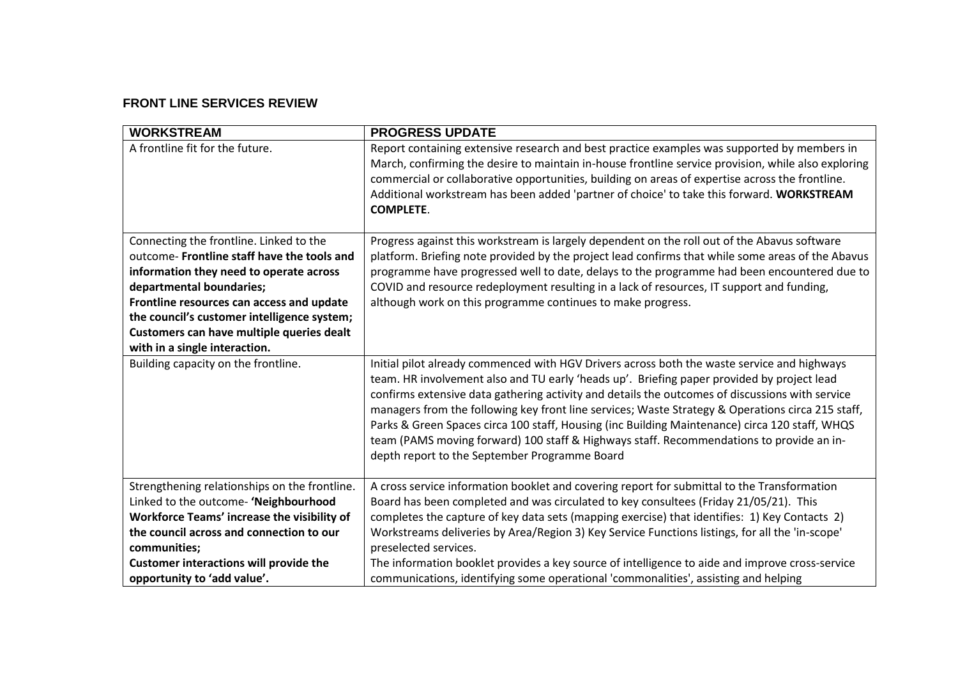# **FRONT LINE SERVICES REVIEW**

| <b>WORKSTREAM</b>                                                                                                                                                                                                                                                                                                                       | <b>PROGRESS UPDATE</b>                                                                                                                                                                                                                                                                                                                                                                                                                                                                                                                                                                                                                           |
|-----------------------------------------------------------------------------------------------------------------------------------------------------------------------------------------------------------------------------------------------------------------------------------------------------------------------------------------|--------------------------------------------------------------------------------------------------------------------------------------------------------------------------------------------------------------------------------------------------------------------------------------------------------------------------------------------------------------------------------------------------------------------------------------------------------------------------------------------------------------------------------------------------------------------------------------------------------------------------------------------------|
| A frontline fit for the future.                                                                                                                                                                                                                                                                                                         | Report containing extensive research and best practice examples was supported by members in<br>March, confirming the desire to maintain in-house frontline service provision, while also exploring<br>commercial or collaborative opportunities, building on areas of expertise across the frontline.<br>Additional workstream has been added 'partner of choice' to take this forward. WORKSTREAM<br><b>COMPLETE.</b>                                                                                                                                                                                                                           |
| Connecting the frontline. Linked to the<br>outcome- Frontline staff have the tools and<br>information they need to operate across<br>departmental boundaries;<br>Frontline resources can access and update<br>the council's customer intelligence system;<br>Customers can have multiple queries dealt<br>with in a single interaction. | Progress against this workstream is largely dependent on the roll out of the Abavus software<br>platform. Briefing note provided by the project lead confirms that while some areas of the Abavus<br>programme have progressed well to date, delays to the programme had been encountered due to<br>COVID and resource redeployment resulting in a lack of resources, IT support and funding,<br>although work on this programme continues to make progress.                                                                                                                                                                                     |
| Building capacity on the frontline.                                                                                                                                                                                                                                                                                                     | Initial pilot already commenced with HGV Drivers across both the waste service and highways<br>team. HR involvement also and TU early 'heads up'. Briefing paper provided by project lead<br>confirms extensive data gathering activity and details the outcomes of discussions with service<br>managers from the following key front line services; Waste Strategy & Operations circa 215 staff,<br>Parks & Green Spaces circa 100 staff, Housing (inc Building Maintenance) circa 120 staff, WHQS<br>team (PAMS moving forward) 100 staff & Highways staff. Recommendations to provide an in-<br>depth report to the September Programme Board |
| Strengthening relationships on the frontline.<br>Linked to the outcome- 'Neighbourhood<br>Workforce Teams' increase the visibility of<br>the council across and connection to our<br>communities;<br><b>Customer interactions will provide the</b><br>opportunity to 'add value'.                                                       | A cross service information booklet and covering report for submittal to the Transformation<br>Board has been completed and was circulated to key consultees (Friday 21/05/21). This<br>completes the capture of key data sets (mapping exercise) that identifies: 1) Key Contacts 2)<br>Workstreams deliveries by Area/Region 3) Key Service Functions listings, for all the 'in-scope'<br>preselected services.<br>The information booklet provides a key source of intelligence to aide and improve cross-service<br>communications, identifying some operational 'commonalities', assisting and helping                                      |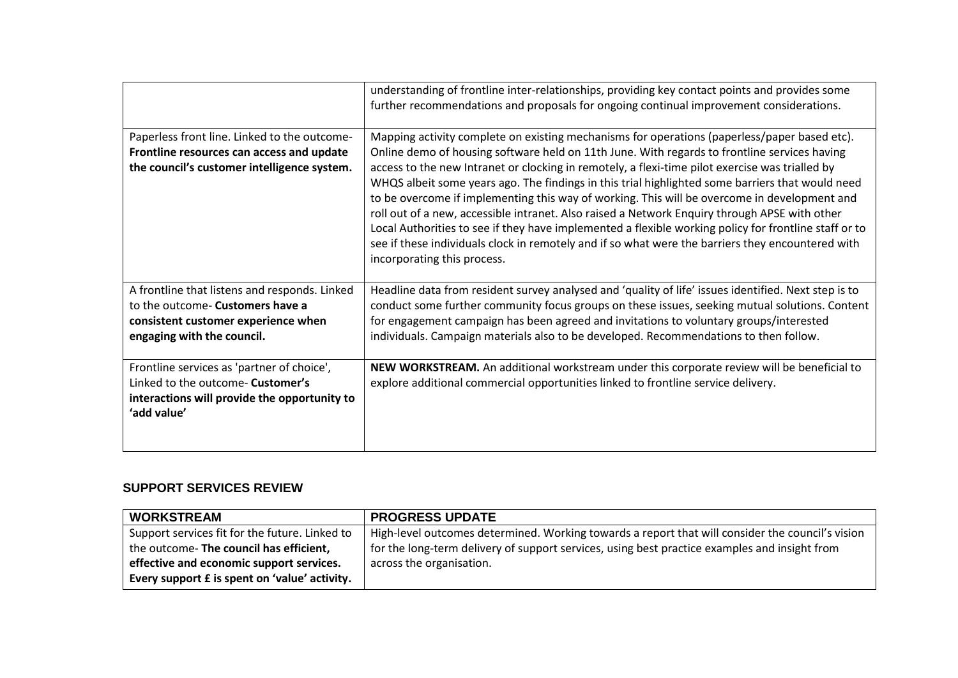|                                                                                                                                                        | understanding of frontline inter-relationships, providing key contact points and provides some<br>further recommendations and proposals for ongoing continual improvement considerations.                                                                                                                                                                                                                                                                                                                                                                                                                                                                                                                                                                                                                                                         |
|--------------------------------------------------------------------------------------------------------------------------------------------------------|---------------------------------------------------------------------------------------------------------------------------------------------------------------------------------------------------------------------------------------------------------------------------------------------------------------------------------------------------------------------------------------------------------------------------------------------------------------------------------------------------------------------------------------------------------------------------------------------------------------------------------------------------------------------------------------------------------------------------------------------------------------------------------------------------------------------------------------------------|
| Paperless front line. Linked to the outcome-<br>Frontline resources can access and update<br>the council's customer intelligence system.               | Mapping activity complete on existing mechanisms for operations (paperless/paper based etc).<br>Online demo of housing software held on 11th June. With regards to frontline services having<br>access to the new Intranet or clocking in remotely, a flexi-time pilot exercise was trialled by<br>WHQS albeit some years ago. The findings in this trial highlighted some barriers that would need<br>to be overcome if implementing this way of working. This will be overcome in development and<br>roll out of a new, accessible intranet. Also raised a Network Enquiry through APSE with other<br>Local Authorities to see if they have implemented a flexible working policy for frontline staff or to<br>see if these individuals clock in remotely and if so what were the barriers they encountered with<br>incorporating this process. |
| A frontline that listens and responds. Linked<br>to the outcome- Customers have a<br>consistent customer experience when<br>engaging with the council. | Headline data from resident survey analysed and 'quality of life' issues identified. Next step is to<br>conduct some further community focus groups on these issues, seeking mutual solutions. Content<br>for engagement campaign has been agreed and invitations to voluntary groups/interested<br>individuals. Campaign materials also to be developed. Recommendations to then follow.                                                                                                                                                                                                                                                                                                                                                                                                                                                         |
| Frontline services as 'partner of choice',<br>Linked to the outcome- Customer's<br>interactions will provide the opportunity to<br>'add value'         | NEW WORKSTREAM. An additional workstream under this corporate review will be beneficial to<br>explore additional commercial opportunities linked to frontline service delivery.                                                                                                                                                                                                                                                                                                                                                                                                                                                                                                                                                                                                                                                                   |

# **SUPPORT SERVICES REVIEW**

| <b>WORKSTREAM</b>                              | <b>PROGRESS UPDATE</b>                                                                           |
|------------------------------------------------|--------------------------------------------------------------------------------------------------|
| Support services fit for the future. Linked to | High-level outcomes determined. Working towards a report that will consider the council's vision |
| the outcome- The council has efficient,        | for the long-term delivery of support services, using best practice examples and insight from    |
| effective and economic support services.       | across the organisation.                                                                         |
| Every support E is spent on 'value' activity.  |                                                                                                  |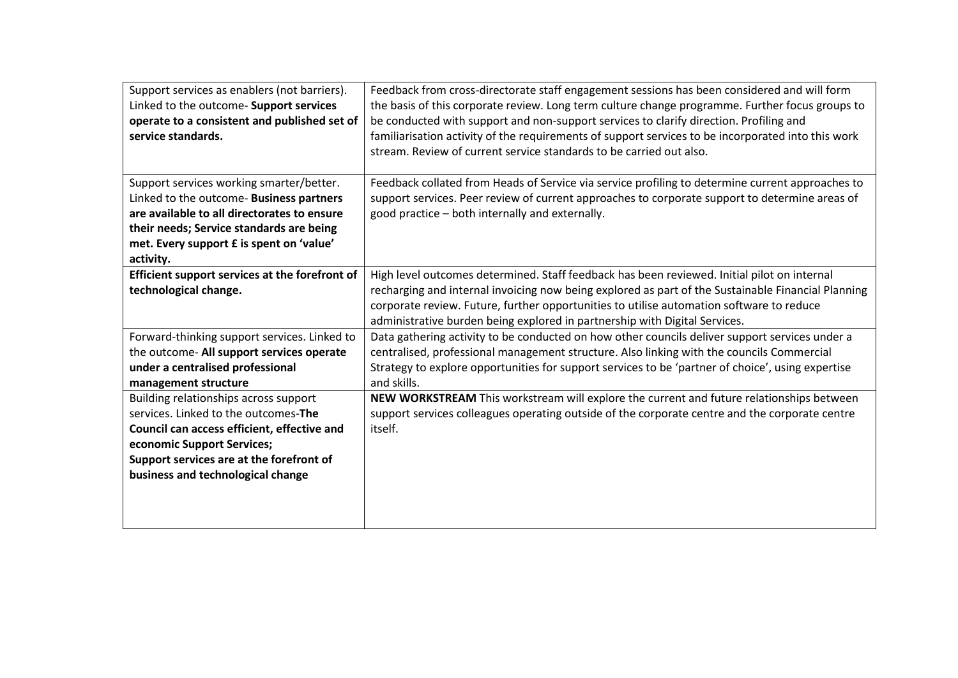| Support services as enablers (not barriers).<br>Linked to the outcome- Support services<br>operate to a consistent and published set of<br>service standards.                                                                               | Feedback from cross-directorate staff engagement sessions has been considered and will form<br>the basis of this corporate review. Long term culture change programme. Further focus groups to<br>be conducted with support and non-support services to clarify direction. Profiling and<br>familiarisation activity of the requirements of support services to be incorporated into this work<br>stream. Review of current service standards to be carried out also. |
|---------------------------------------------------------------------------------------------------------------------------------------------------------------------------------------------------------------------------------------------|-----------------------------------------------------------------------------------------------------------------------------------------------------------------------------------------------------------------------------------------------------------------------------------------------------------------------------------------------------------------------------------------------------------------------------------------------------------------------|
| Support services working smarter/better.<br>Linked to the outcome- Business partners<br>are available to all directorates to ensure<br>their needs; Service standards are being<br>met. Every support £ is spent on 'value'<br>activity.    | Feedback collated from Heads of Service via service profiling to determine current approaches to<br>support services. Peer review of current approaches to corporate support to determine areas of<br>good practice - both internally and externally.                                                                                                                                                                                                                 |
| Efficient support services at the forefront of<br>technological change.                                                                                                                                                                     | High level outcomes determined. Staff feedback has been reviewed. Initial pilot on internal<br>recharging and internal invoicing now being explored as part of the Sustainable Financial Planning<br>corporate review. Future, further opportunities to utilise automation software to reduce<br>administrative burden being explored in partnership with Digital Services.                                                                                           |
| Forward-thinking support services. Linked to<br>the outcome- All support services operate<br>under a centralised professional<br>management structure                                                                                       | Data gathering activity to be conducted on how other councils deliver support services under a<br>centralised, professional management structure. Also linking with the councils Commercial<br>Strategy to explore opportunities for support services to be 'partner of choice', using expertise<br>and skills.                                                                                                                                                       |
| Building relationships across support<br>services. Linked to the outcomes-The<br>Council can access efficient, effective and<br>economic Support Services;<br>Support services are at the forefront of<br>business and technological change | NEW WORKSTREAM This workstream will explore the current and future relationships between<br>support services colleagues operating outside of the corporate centre and the corporate centre<br>itself.                                                                                                                                                                                                                                                                 |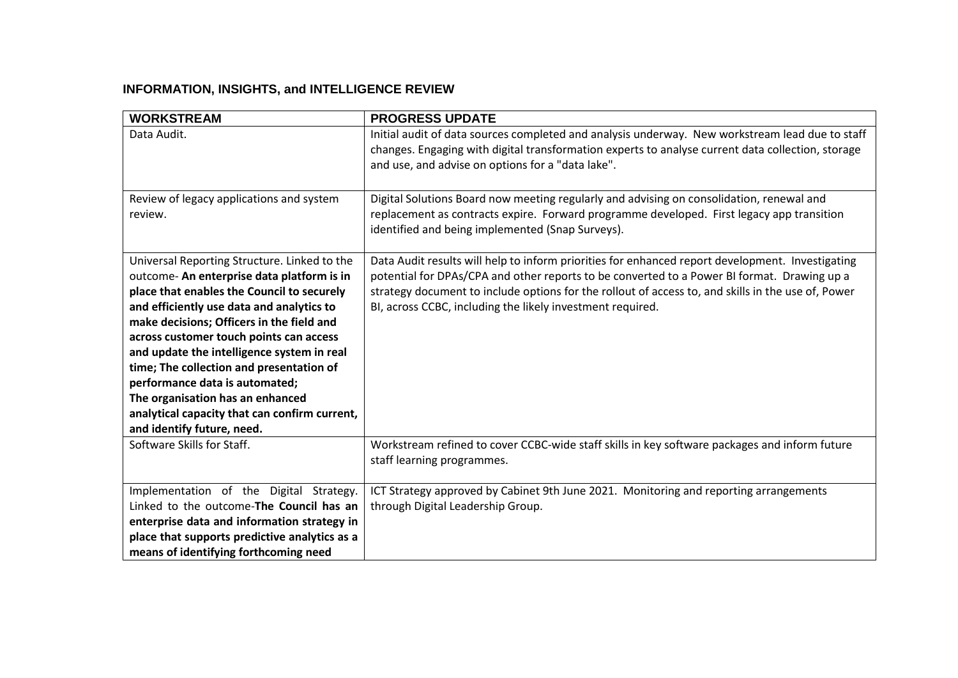# **INFORMATION, INSIGHTS, and INTELLIGENCE REVIEW**

| <b>WORKSTREAM</b>                                   | <b>PROGRESS UPDATE</b>                                                                                                                                                                                                                                    |
|-----------------------------------------------------|-----------------------------------------------------------------------------------------------------------------------------------------------------------------------------------------------------------------------------------------------------------|
| Data Audit.                                         | Initial audit of data sources completed and analysis underway. New workstream lead due to staff<br>changes. Engaging with digital transformation experts to analyse current data collection, storage<br>and use, and advise on options for a "data lake". |
| Review of legacy applications and system<br>review. | Digital Solutions Board now meeting regularly and advising on consolidation, renewal and<br>replacement as contracts expire. Forward programme developed. First legacy app transition                                                                     |
|                                                     | identified and being implemented (Snap Surveys).                                                                                                                                                                                                          |
| Universal Reporting Structure. Linked to the        | Data Audit results will help to inform priorities for enhanced report development. Investigating                                                                                                                                                          |
| outcome- An enterprise data platform is in          | potential for DPAs/CPA and other reports to be converted to a Power BI format. Drawing up a                                                                                                                                                               |
| place that enables the Council to securely          | strategy document to include options for the rollout of access to, and skills in the use of, Power                                                                                                                                                        |
| and efficiently use data and analytics to           | BI, across CCBC, including the likely investment required.                                                                                                                                                                                                |
| make decisions; Officers in the field and           |                                                                                                                                                                                                                                                           |
| across customer touch points can access             |                                                                                                                                                                                                                                                           |
| and update the intelligence system in real          |                                                                                                                                                                                                                                                           |
| time; The collection and presentation of            |                                                                                                                                                                                                                                                           |
| performance data is automated;                      |                                                                                                                                                                                                                                                           |
| The organisation has an enhanced                    |                                                                                                                                                                                                                                                           |
| analytical capacity that can confirm current,       |                                                                                                                                                                                                                                                           |
| and identify future, need.                          |                                                                                                                                                                                                                                                           |
| Software Skills for Staff.                          | Workstream refined to cover CCBC-wide staff skills in key software packages and inform future                                                                                                                                                             |
|                                                     | staff learning programmes.                                                                                                                                                                                                                                |
| Implementation of the Digital Strategy.             | ICT Strategy approved by Cabinet 9th June 2021. Monitoring and reporting arrangements                                                                                                                                                                     |
| Linked to the outcome-The Council has an            | through Digital Leadership Group.                                                                                                                                                                                                                         |
| enterprise data and information strategy in         |                                                                                                                                                                                                                                                           |
| place that supports predictive analytics as a       |                                                                                                                                                                                                                                                           |
| means of identifying forthcoming need               |                                                                                                                                                                                                                                                           |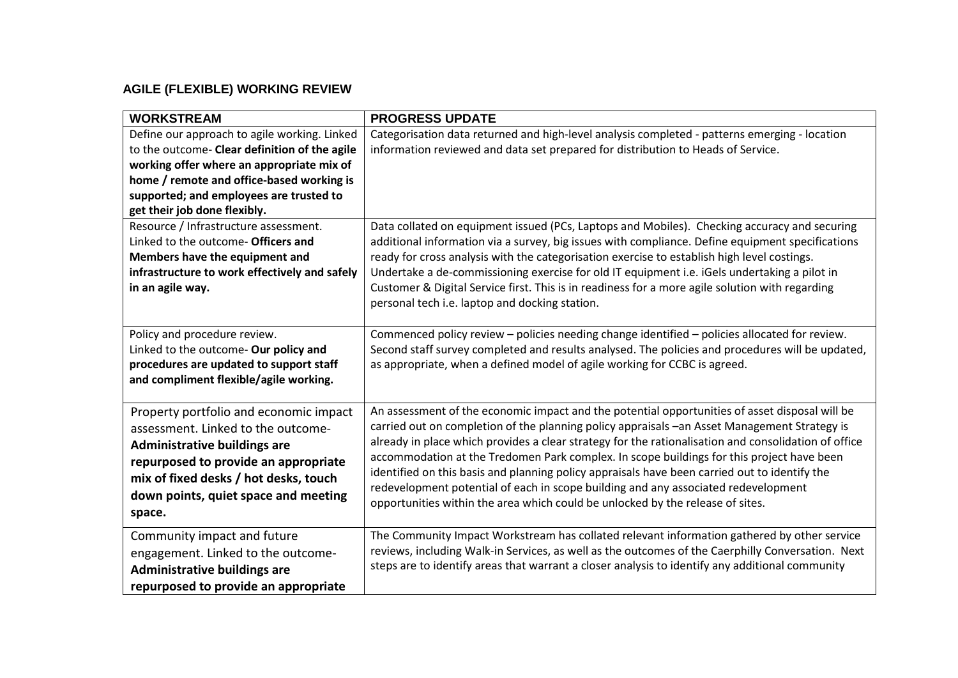# **AGILE (FLEXIBLE) WORKING REVIEW**

| <b>WORKSTREAM</b>                                                                                                                                                                                                                                                  | <b>PROGRESS UPDATE</b>                                                                                                                                                                                                                                                                                                                                                                                                                                                                                                                                                                                                                                                       |
|--------------------------------------------------------------------------------------------------------------------------------------------------------------------------------------------------------------------------------------------------------------------|------------------------------------------------------------------------------------------------------------------------------------------------------------------------------------------------------------------------------------------------------------------------------------------------------------------------------------------------------------------------------------------------------------------------------------------------------------------------------------------------------------------------------------------------------------------------------------------------------------------------------------------------------------------------------|
| Define our approach to agile working. Linked<br>to the outcome- Clear definition of the agile<br>working offer where an appropriate mix of<br>home / remote and office-based working is<br>supported; and employees are trusted to<br>get their job done flexibly. | Categorisation data returned and high-level analysis completed - patterns emerging - location<br>information reviewed and data set prepared for distribution to Heads of Service.                                                                                                                                                                                                                                                                                                                                                                                                                                                                                            |
| Resource / Infrastructure assessment.<br>Linked to the outcome- Officers and<br>Members have the equipment and<br>infrastructure to work effectively and safely<br>in an agile way.                                                                                | Data collated on equipment issued (PCs, Laptops and Mobiles). Checking accuracy and securing<br>additional information via a survey, big issues with compliance. Define equipment specifications<br>ready for cross analysis with the categorisation exercise to establish high level costings.<br>Undertake a de-commissioning exercise for old IT equipment i.e. iGels undertaking a pilot in<br>Customer & Digital Service first. This is in readiness for a more agile solution with regarding<br>personal tech i.e. laptop and docking station.                                                                                                                         |
| Policy and procedure review.<br>Linked to the outcome- Our policy and<br>procedures are updated to support staff<br>and compliment flexible/agile working.                                                                                                         | Commenced policy review – policies needing change identified – policies allocated for review.<br>Second staff survey completed and results analysed. The policies and procedures will be updated,<br>as appropriate, when a defined model of agile working for CCBC is agreed.                                                                                                                                                                                                                                                                                                                                                                                               |
| Property portfolio and economic impact<br>assessment. Linked to the outcome-<br><b>Administrative buildings are</b><br>repurposed to provide an appropriate<br>mix of fixed desks / hot desks, touch<br>down points, quiet space and meeting<br>space.             | An assessment of the economic impact and the potential opportunities of asset disposal will be<br>carried out on completion of the planning policy appraisals -an Asset Management Strategy is<br>already in place which provides a clear strategy for the rationalisation and consolidation of office<br>accommodation at the Tredomen Park complex. In scope buildings for this project have been<br>identified on this basis and planning policy appraisals have been carried out to identify the<br>redevelopment potential of each in scope building and any associated redevelopment<br>opportunities within the area which could be unlocked by the release of sites. |
| Community impact and future<br>engagement. Linked to the outcome-<br><b>Administrative buildings are</b><br>repurposed to provide an appropriate                                                                                                                   | The Community Impact Workstream has collated relevant information gathered by other service<br>reviews, including Walk-in Services, as well as the outcomes of the Caerphilly Conversation. Next<br>steps are to identify areas that warrant a closer analysis to identify any additional community                                                                                                                                                                                                                                                                                                                                                                          |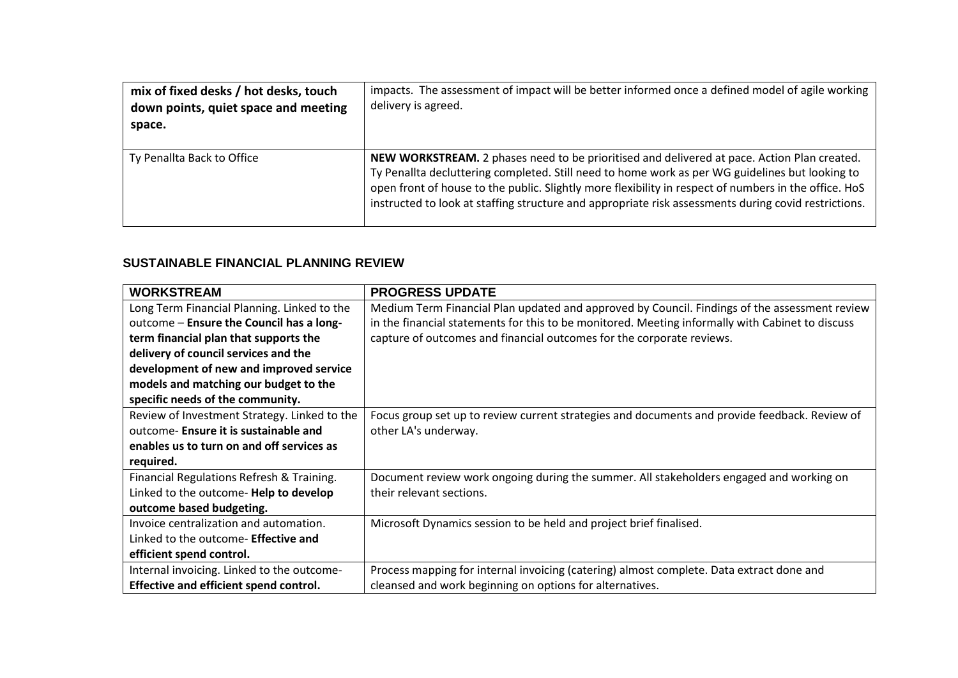| mix of fixed desks / hot desks, touch<br>down points, quiet space and meeting<br>space. | impacts. The assessment of impact will be better informed once a defined model of agile working<br>delivery is agreed.                                                                                                                                                                                                                                                                                          |
|-----------------------------------------------------------------------------------------|-----------------------------------------------------------------------------------------------------------------------------------------------------------------------------------------------------------------------------------------------------------------------------------------------------------------------------------------------------------------------------------------------------------------|
| Ty Penallta Back to Office                                                              | NEW WORKSTREAM. 2 phases need to be prioritised and delivered at pace. Action Plan created.<br>Ty Penallta decluttering completed. Still need to home work as per WG guidelines but looking to<br>open front of house to the public. Slightly more flexibility in respect of numbers in the office. HoS<br>instructed to look at staffing structure and appropriate risk assessments during covid restrictions. |

#### **SUSTAINABLE FINANCIAL PLANNING REVIEW**

| <b>WORKSTREAM</b>                            | <b>PROGRESS UPDATE</b>                                                                           |
|----------------------------------------------|--------------------------------------------------------------------------------------------------|
| Long Term Financial Planning. Linked to the  | Medium Term Financial Plan updated and approved by Council. Findings of the assessment review    |
| outcome - Ensure the Council has a long-     | in the financial statements for this to be monitored. Meeting informally with Cabinet to discuss |
| term financial plan that supports the        | capture of outcomes and financial outcomes for the corporate reviews.                            |
| delivery of council services and the         |                                                                                                  |
| development of new and improved service      |                                                                                                  |
| models and matching our budget to the        |                                                                                                  |
| specific needs of the community.             |                                                                                                  |
| Review of Investment Strategy. Linked to the | Focus group set up to review current strategies and documents and provide feedback. Review of    |
| outcome- Ensure it is sustainable and        | other LA's underway.                                                                             |
| enables us to turn on and off services as    |                                                                                                  |
| required.                                    |                                                                                                  |
| Financial Regulations Refresh & Training.    | Document review work ongoing during the summer. All stakeholders engaged and working on          |
| Linked to the outcome- Help to develop       | their relevant sections.                                                                         |
| outcome based budgeting.                     |                                                                                                  |
| Invoice centralization and automation.       | Microsoft Dynamics session to be held and project brief finalised.                               |
| Linked to the outcome- Effective and         |                                                                                                  |
| efficient spend control.                     |                                                                                                  |
| Internal invoicing. Linked to the outcome-   | Process mapping for internal invoicing (catering) almost complete. Data extract done and         |
| Effective and efficient spend control.       | cleansed and work beginning on options for alternatives.                                         |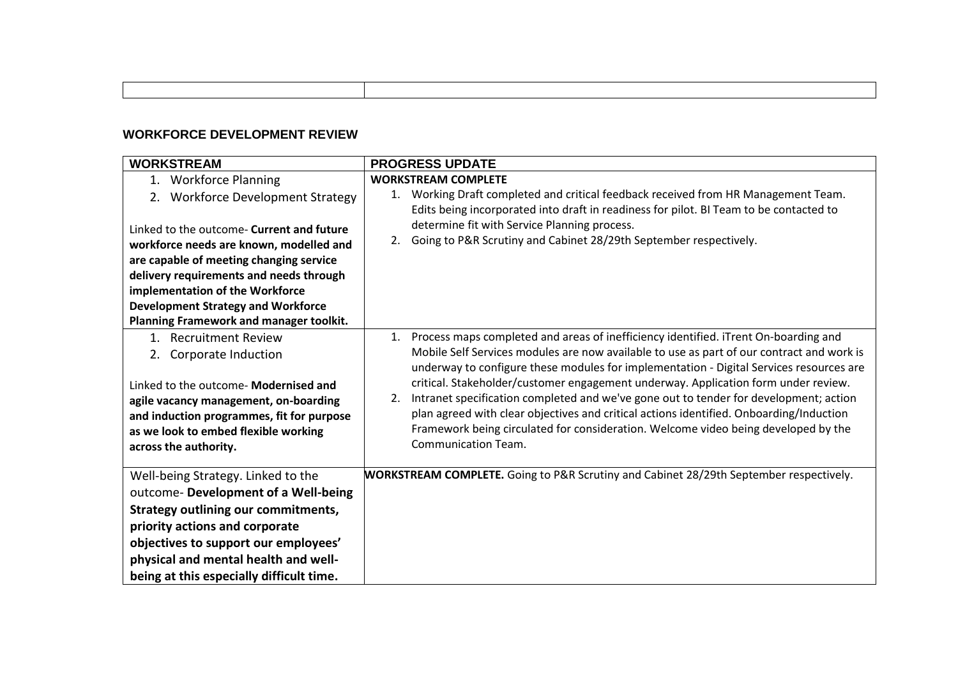## **WORKFORCE DEVELOPMENT REVIEW**

| <b>WORKSTREAM</b>                                                                                                                                                                                                                                                                                                                                                             | <b>PROGRESS UPDATE</b>                                                                                                                                                                                                                                                                                                                                                                                                                                                                                                                                                                                                                                                             |
|-------------------------------------------------------------------------------------------------------------------------------------------------------------------------------------------------------------------------------------------------------------------------------------------------------------------------------------------------------------------------------|------------------------------------------------------------------------------------------------------------------------------------------------------------------------------------------------------------------------------------------------------------------------------------------------------------------------------------------------------------------------------------------------------------------------------------------------------------------------------------------------------------------------------------------------------------------------------------------------------------------------------------------------------------------------------------|
| <b>Workforce Planning</b><br>1.<br>2. Workforce Development Strategy<br>Linked to the outcome- Current and future<br>workforce needs are known, modelled and<br>are capable of meeting changing service<br>delivery requirements and needs through<br>implementation of the Workforce<br><b>Development Strategy and Workforce</b><br>Planning Framework and manager toolkit. | <b>WORKSTREAM COMPLETE</b><br>Working Draft completed and critical feedback received from HR Management Team.<br>1.<br>Edits being incorporated into draft in readiness for pilot. BI Team to be contacted to<br>determine fit with Service Planning process.<br>Going to P&R Scrutiny and Cabinet 28/29th September respectively.<br>2.                                                                                                                                                                                                                                                                                                                                           |
| 1. Recruitment Review<br>Corporate Induction<br>2.<br>Linked to the outcome- Modernised and<br>agile vacancy management, on-boarding<br>and induction programmes, fit for purpose<br>as we look to embed flexible working<br>across the authority.                                                                                                                            | 1. Process maps completed and areas of inefficiency identified. iTrent On-boarding and<br>Mobile Self Services modules are now available to use as part of our contract and work is<br>underway to configure these modules for implementation - Digital Services resources are<br>critical. Stakeholder/customer engagement underway. Application form under review.<br>Intranet specification completed and we've gone out to tender for development; action<br>2.<br>plan agreed with clear objectives and critical actions identified. Onboarding/Induction<br>Framework being circulated for consideration. Welcome video being developed by the<br><b>Communication Team.</b> |
| Well-being Strategy. Linked to the<br>outcome- Development of a Well-being<br><b>Strategy outlining our commitments,</b><br>priority actions and corporate<br>objectives to support our employees'<br>physical and mental health and well-<br>being at this especially difficult time.                                                                                        | <b>WORKSTREAM COMPLETE.</b> Going to P&R Scrutiny and Cabinet 28/29th September respectively.                                                                                                                                                                                                                                                                                                                                                                                                                                                                                                                                                                                      |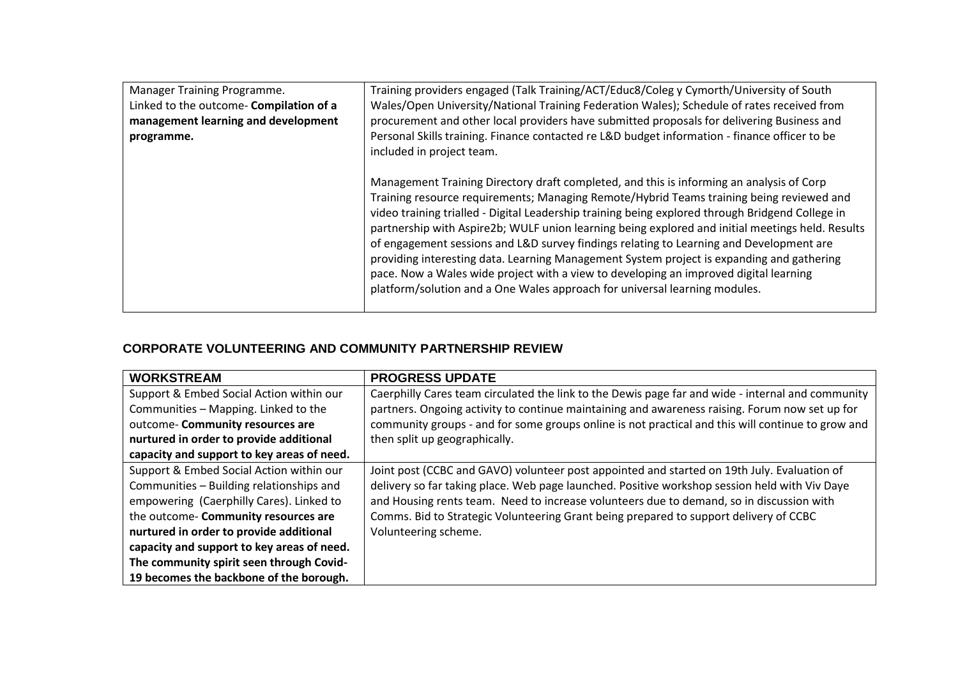| Manager Training Programme.             | Training providers engaged (Talk Training/ACT/Educ8/Coleg y Cymorth/University of South          |
|-----------------------------------------|--------------------------------------------------------------------------------------------------|
| Linked to the outcome- Compilation of a | Wales/Open University/National Training Federation Wales); Schedule of rates received from       |
| management learning and development     | procurement and other local providers have submitted proposals for delivering Business and       |
| programme.                              | Personal Skills training. Finance contacted re L&D budget information - finance officer to be    |
|                                         | included in project team.                                                                        |
|                                         |                                                                                                  |
|                                         | Management Training Directory draft completed, and this is informing an analysis of Corp         |
|                                         | Training resource requirements; Managing Remote/Hybrid Teams training being reviewed and         |
|                                         | video training trialled - Digital Leadership training being explored through Bridgend College in |
|                                         | partnership with Aspire2b; WULF union learning being explored and initial meetings held. Results |
|                                         | of engagement sessions and L&D survey findings relating to Learning and Development are          |
|                                         | providing interesting data. Learning Management System project is expanding and gathering        |
|                                         | pace. Now a Wales wide project with a view to developing an improved digital learning            |
|                                         | platform/solution and a One Wales approach for universal learning modules.                       |
|                                         |                                                                                                  |

# **CORPORATE VOLUNTEERING AND COMMUNITY PARTNERSHIP REVIEW**

| <b>WORKSTREAM</b>                          | <b>PROGRESS UPDATE</b>                                                                            |
|--------------------------------------------|---------------------------------------------------------------------------------------------------|
| Support & Embed Social Action within our   | Caerphilly Cares team circulated the link to the Dewis page far and wide - internal and community |
| Communities - Mapping. Linked to the       | partners. Ongoing activity to continue maintaining and awareness raising. Forum now set up for    |
| outcome- Community resources are           | community groups - and for some groups online is not practical and this will continue to grow and |
| nurtured in order to provide additional    | then split up geographically.                                                                     |
| capacity and support to key areas of need. |                                                                                                   |
| Support & Embed Social Action within our   | Joint post (CCBC and GAVO) volunteer post appointed and started on 19th July. Evaluation of       |
| Communities - Building relationships and   | delivery so far taking place. Web page launched. Positive workshop session held with Viv Daye     |
| empowering (Caerphilly Cares). Linked to   | and Housing rents team. Need to increase volunteers due to demand, so in discussion with          |
| the outcome- Community resources are       | Comms. Bid to Strategic Volunteering Grant being prepared to support delivery of CCBC             |
| nurtured in order to provide additional    | Volunteering scheme.                                                                              |
| capacity and support to key areas of need. |                                                                                                   |
| The community spirit seen through Covid-   |                                                                                                   |
| 19 becomes the backbone of the borough.    |                                                                                                   |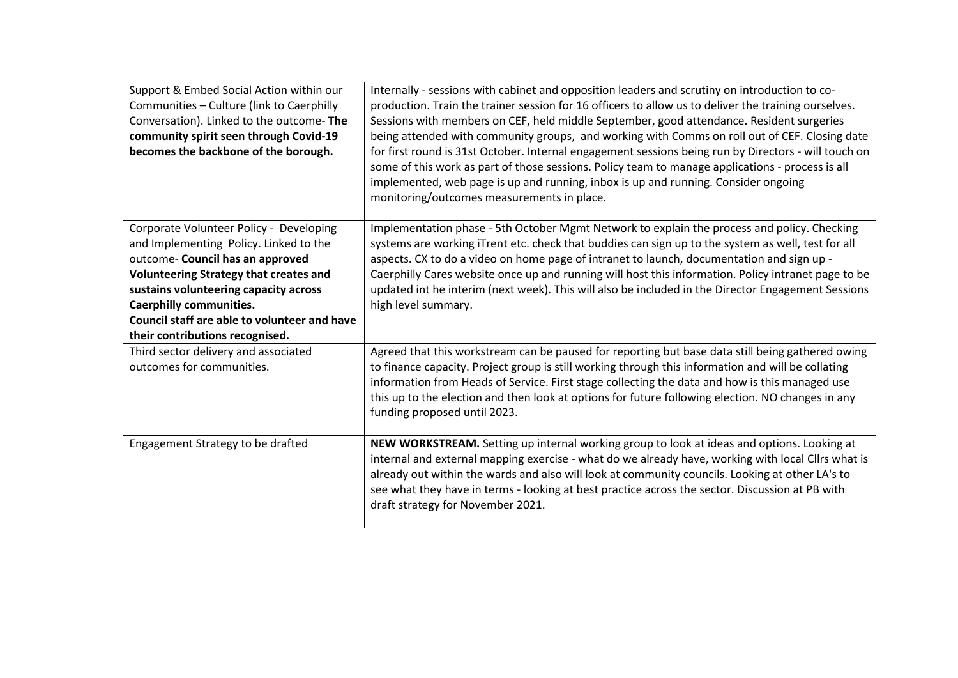| Support & Embed Social Action within our<br>Communities - Culture (link to Caerphilly<br>Conversation). Linked to the outcome-The<br>community spirit seen through Covid-19<br>becomes the backbone of the borough.                                                                                                                  | Internally - sessions with cabinet and opposition leaders and scrutiny on introduction to co-<br>production. Train the trainer session for 16 officers to allow us to deliver the training ourselves.<br>Sessions with members on CEF, held middle September, good attendance. Resident surgeries<br>being attended with community groups, and working with Comms on roll out of CEF. Closing date<br>for first round is 31st October. Internal engagement sessions being run by Directors - will touch on<br>some of this work as part of those sessions. Policy team to manage applications - process is all<br>implemented, web page is up and running, inbox is up and running. Consider ongoing<br>monitoring/outcomes measurements in place. |
|--------------------------------------------------------------------------------------------------------------------------------------------------------------------------------------------------------------------------------------------------------------------------------------------------------------------------------------|----------------------------------------------------------------------------------------------------------------------------------------------------------------------------------------------------------------------------------------------------------------------------------------------------------------------------------------------------------------------------------------------------------------------------------------------------------------------------------------------------------------------------------------------------------------------------------------------------------------------------------------------------------------------------------------------------------------------------------------------------|
| Corporate Volunteer Policy - Developing<br>and Implementing Policy. Linked to the<br>outcome- Council has an approved<br><b>Volunteering Strategy that creates and</b><br>sustains volunteering capacity across<br><b>Caerphilly communities.</b><br>Council staff are able to volunteer and have<br>their contributions recognised. | Implementation phase - 5th October Mgmt Network to explain the process and policy. Checking<br>systems are working iTrent etc. check that buddies can sign up to the system as well, test for all<br>aspects. CX to do a video on home page of intranet to launch, documentation and sign up -<br>Caerphilly Cares website once up and running will host this information. Policy intranet page to be<br>updated int he interim (next week). This will also be included in the Director Engagement Sessions<br>high level summary.                                                                                                                                                                                                                 |
| Third sector delivery and associated<br>outcomes for communities.                                                                                                                                                                                                                                                                    | Agreed that this workstream can be paused for reporting but base data still being gathered owing<br>to finance capacity. Project group is still working through this information and will be collating<br>information from Heads of Service. First stage collecting the data and how is this managed use<br>this up to the election and then look at options for future following election. NO changes in any<br>funding proposed until 2023.                                                                                                                                                                                                                                                                                                      |
| Engagement Strategy to be drafted                                                                                                                                                                                                                                                                                                    | NEW WORKSTREAM. Setting up internal working group to look at ideas and options. Looking at<br>internal and external mapping exercise - what do we already have, working with local Cllrs what is<br>already out within the wards and also will look at community councils. Looking at other LA's to<br>see what they have in terms - looking at best practice across the sector. Discussion at PB with<br>draft strategy for November 2021.                                                                                                                                                                                                                                                                                                        |